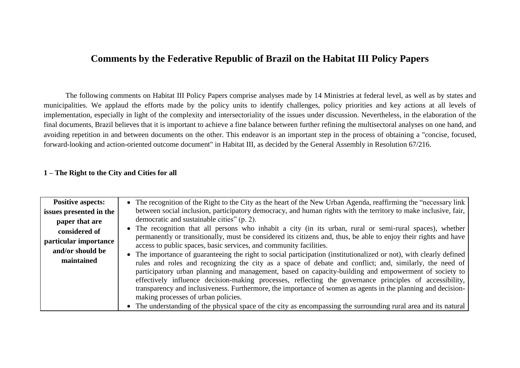### **Comments by the Federative Republic of Brazil on the Habitat III Policy Papers**

The following comments on Habitat III Policy Papers comprise analyses made by 14 Ministries at federal level, as well as by states and municipalities. We applaud the efforts made by the policy units to identify challenges, policy priorities and key actions at all levels of implementation, especially in light of the complexity and intersectoriality of the issues under discussion. Nevertheless, in the elaboration of the final documents, Brazil believes that it is important to achieve a fine balance between further refining the multisectoral analyses on one hand, and avoiding repetition in and between documents on the other. This endeavor is an important step in the process of obtaining a "concise, focused, forward-looking and action-oriented outcome document" in Habitat III, as decided by the General Assembly in Resolution 67/216.

#### **1 – The Right to the City and Cities for all**

| <b>Positive aspects:</b><br>issues presented in the<br>paper that are<br>considered of<br>particular importance<br>and/or should be<br>maintained | • The recognition of the Right to the City as the heart of the New Urban Agenda, reaffirming the "necessary link<br>between social inclusion, participatory democracy, and human rights with the territory to make inclusive, fair,<br>democratic and sustainable cities" (p. 2).<br>• The recognition that all persons who inhabit a city (in its urban, rural or semi-rural spaces), whether<br>permanently or transitionally, must be considered its citizens and, thus, be able to enjoy their rights and have<br>access to public spaces, basic services, and community facilities.<br>• The importance of guaranteeing the right to social participation (institutionalized or not), with clearly defined<br>rules and roles and recognizing the city as a space of debate and conflict; and, similarly, the need of<br>participatory urban planning and management, based on capacity-building and empowerment of society to<br>effectively influence decision-making processes, reflecting the governance principles of accessibility,<br>transparency and inclusiveness. Furthermore, the importance of women as agents in the planning and decision-<br>making processes of urban policies. |
|---------------------------------------------------------------------------------------------------------------------------------------------------|-------------------------------------------------------------------------------------------------------------------------------------------------------------------------------------------------------------------------------------------------------------------------------------------------------------------------------------------------------------------------------------------------------------------------------------------------------------------------------------------------------------------------------------------------------------------------------------------------------------------------------------------------------------------------------------------------------------------------------------------------------------------------------------------------------------------------------------------------------------------------------------------------------------------------------------------------------------------------------------------------------------------------------------------------------------------------------------------------------------------------------------------------------------------------------------------------------|
|                                                                                                                                                   | • The understanding of the physical space of the city as encompassing the surrounding rural area and its natural                                                                                                                                                                                                                                                                                                                                                                                                                                                                                                                                                                                                                                                                                                                                                                                                                                                                                                                                                                                                                                                                                      |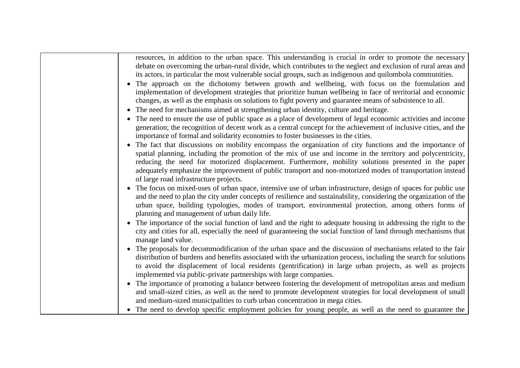| resources, in addition to the urban space. This understanding is crucial in order to promote the necessary<br>debate on overcoming the urban-rural divide, which contributes to the neglect and exclusion of rural areas and<br>its actors, in particular the most vulnerable social groups, such as indigenous and quilombola communities.<br>• The approach on the dichotomy between growth and wellbeing, with focus on the formulation and<br>implementation of development strategies that prioritize human wellbeing in face of territorial and economic<br>changes, as well as the emphasis on solutions to fight poverty and guarantee means of subsistence to all.<br>The need for mechanisms aimed at strengthening urban identity, culture and heritage.<br>• The need to ensure the use of public space as a place of development of legal economic activities and income<br>generation; the recognition of decent work as a central concept for the achievement of inclusive cities, and the<br>importance of formal and solidarity economies to foster businesses in the cities. |
|------------------------------------------------------------------------------------------------------------------------------------------------------------------------------------------------------------------------------------------------------------------------------------------------------------------------------------------------------------------------------------------------------------------------------------------------------------------------------------------------------------------------------------------------------------------------------------------------------------------------------------------------------------------------------------------------------------------------------------------------------------------------------------------------------------------------------------------------------------------------------------------------------------------------------------------------------------------------------------------------------------------------------------------------------------------------------------------------|
| The fact that discussions on mobility encompass the organization of city functions and the importance of<br>spatial planning, including the promotion of the mix of use and income in the territory and polycentricity,<br>reducing the need for motorized displacement. Furthermore, mobility solutions presented in the paper<br>adequately emphasize the improvement of public transport and non-motorized modes of transportation instead<br>of large road infrastructure projects.                                                                                                                                                                                                                                                                                                                                                                                                                                                                                                                                                                                                        |
| • The focus on mixed-uses of urban space, intensive use of urban infrastructure, design of spaces for public use<br>and the need to plan the city under concepts of resilience and sustainability, considering the organization of the<br>urban space, building typologies, modes of transport, environmental protection, among others forms of<br>planning and management of urban daily life.                                                                                                                                                                                                                                                                                                                                                                                                                                                                                                                                                                                                                                                                                                |
| The importance of the social function of land and the right to adequate housing in addressing the right to the<br>city and cities for all, especially the need of guaranteeing the social function of land through mechanisms that<br>manage land value.                                                                                                                                                                                                                                                                                                                                                                                                                                                                                                                                                                                                                                                                                                                                                                                                                                       |
| • The proposals for decommodification of the urban space and the discussion of mechanisms related to the fair<br>distribution of burdens and benefits associated with the urbanization process, including the search for solutions<br>to avoid the displacement of local residents (gentrification) in large urban projects, as well as projects<br>implemented via public-private partnerships with large companies.                                                                                                                                                                                                                                                                                                                                                                                                                                                                                                                                                                                                                                                                          |
| • The importance of promoting a balance between fostering the development of metropolitan areas and medium<br>and small-sized cities, as well as the need to promote development strategies for local development of small<br>and medium-sized municipalities to curb urban concentration in mega cities.                                                                                                                                                                                                                                                                                                                                                                                                                                                                                                                                                                                                                                                                                                                                                                                      |
| • The need to develop specific employment policies for young people, as well as the need to guarantee the                                                                                                                                                                                                                                                                                                                                                                                                                                                                                                                                                                                                                                                                                                                                                                                                                                                                                                                                                                                      |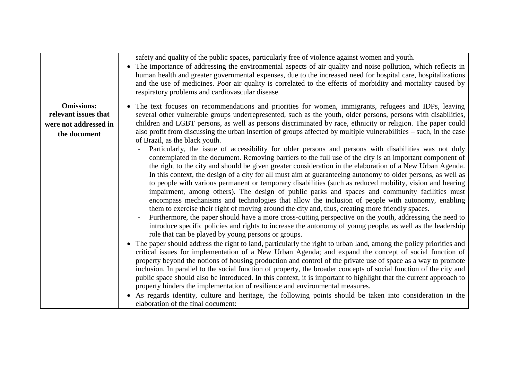|                                                                                    | safety and quality of the public spaces, particularly free of violence against women and youth.<br>The importance of addressing the environmental aspects of air quality and noise pollution, which reflects in<br>human health and greater governmental expenses, due to the increased need for hospital care, hospitalizations<br>and the use of medicines. Poor air quality is correlated to the effects of morbidity and mortality caused by<br>respiratory problems and cardiovascular disease.                                                                                                                                                                                                                                                                                                                                                                                                                                                                                                                                                                                                                                                                                                                                                                                                                                                                                                                                                                                                                                                                                                                                                                                                                                                                                                                                                                                                                                                                                                                                                                                                                                                                                                                                                                                                                                                                                                                                                                                       |
|------------------------------------------------------------------------------------|--------------------------------------------------------------------------------------------------------------------------------------------------------------------------------------------------------------------------------------------------------------------------------------------------------------------------------------------------------------------------------------------------------------------------------------------------------------------------------------------------------------------------------------------------------------------------------------------------------------------------------------------------------------------------------------------------------------------------------------------------------------------------------------------------------------------------------------------------------------------------------------------------------------------------------------------------------------------------------------------------------------------------------------------------------------------------------------------------------------------------------------------------------------------------------------------------------------------------------------------------------------------------------------------------------------------------------------------------------------------------------------------------------------------------------------------------------------------------------------------------------------------------------------------------------------------------------------------------------------------------------------------------------------------------------------------------------------------------------------------------------------------------------------------------------------------------------------------------------------------------------------------------------------------------------------------------------------------------------------------------------------------------------------------------------------------------------------------------------------------------------------------------------------------------------------------------------------------------------------------------------------------------------------------------------------------------------------------------------------------------------------------------------------------------------------------------------------------------------------------|
| <b>Omissions:</b><br>relevant issues that<br>were not addressed in<br>the document | • The text focuses on recommendations and priorities for women, immigrants, refugees and IDPs, leaving<br>several other vulnerable groups underrepresented, such as the youth, older persons, persons with disabilities,<br>children and LGBT persons, as well as persons discriminated by race, ethnicity or religion. The paper could<br>also profit from discussing the urban insertion of groups affected by multiple vulnerabilities – such, in the case<br>of Brazil, as the black youth.<br>Particularly, the issue of accessibility for older persons and persons with disabilities was not duly<br>contemplated in the document. Removing barriers to the full use of the city is an important component of<br>the right to the city and should be given greater consideration in the elaboration of a New Urban Agenda.<br>In this context, the design of a city for all must aim at guaranteeing autonomy to older persons, as well as<br>to people with various permanent or temporary disabilities (such as reduced mobility, vision and hearing<br>impairment, among others). The design of public parks and spaces and community facilities must<br>encompass mechanisms and technologies that allow the inclusion of people with autonomy, enabling<br>them to exercise their right of moving around the city and, thus, creating more friendly spaces.<br>Furthermore, the paper should have a more cross-cutting perspective on the youth, addressing the need to<br>introduce specific policies and rights to increase the autonomy of young people, as well as the leadership<br>role that can be played by young persons or groups.<br>• The paper should address the right to land, particularly the right to urban land, among the policy priorities and<br>critical issues for implementation of a New Urban Agenda; and expand the concept of social function of<br>property beyond the notions of housing production and control of the private use of space as a way to promote<br>inclusion. In parallel to the social function of property, the broader concepts of social function of the city and<br>public space should also be introduced. In this context, it is important to highlight that the current approach to<br>property hinders the implementation of resilience and environmental measures.<br>As regards identity, culture and heritage, the following points should be taken into consideration in the<br>elaboration of the final document: |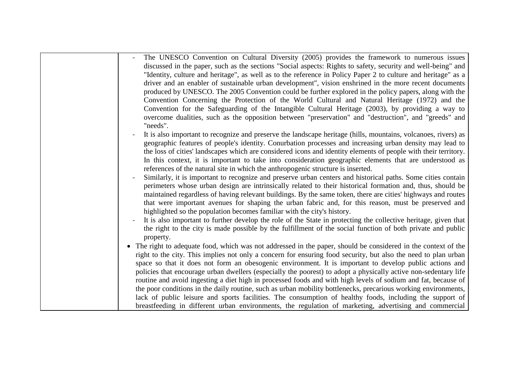| The UNESCO Convention on Cultural Diversity (2005) provides the framework to numerous issues                      |
|-------------------------------------------------------------------------------------------------------------------|
| discussed in the paper, such as the sections "Social aspects: Rights to safety, security and well-being" and      |
| "Identity, culture and heritage", as well as to the reference in Policy Paper 2 to culture and heritage" as a     |
| driver and an enabler of sustainable urban development", vision enshrined in the more recent documents            |
| produced by UNESCO. The 2005 Convention could be further explored in the policy papers, along with the            |
| Convention Concerning the Protection of the World Cultural and Natural Heritage (1972) and the                    |
| Convention for the Safeguarding of the Intangible Cultural Heritage (2003), by providing a way to                 |
| overcome dualities, such as the opposition between "preservation" and "destruction", and "greeds" and<br>"needs". |
| It is also important to recognize and preserve the landscape heritage (hills, mountains, volcanoes, rivers) as    |
| geographic features of people's identity. Conurbation processes and increasing urban density may lead to          |
| the loss of cities' landscapes which are considered icons and identity elements of people with their territory.   |
| In this context, it is important to take into consideration geographic elements that are understood as            |
| references of the natural site in which the anthropogenic structure is inserted.                                  |
| Similarly, it is important to recognize and preserve urban centers and historical paths. Some cities contain      |
| perimeters whose urban design are intrinsically related to their historical formation and, thus, should be        |
| maintained regardless of having relevant buildings. By the same token, there are cities' highways and routes      |
| that were important avenues for shaping the urban fabric and, for this reason, must be preserved and              |
| highlighted so the population becomes familiar with the city's history.                                           |
| It is also important to further develop the role of the State in protecting the collective heritage, given that   |
| the right to the city is made possible by the fulfillment of the social function of both private and public       |
| property.                                                                                                         |
| • The right to adequate food, which was not addressed in the paper, should be considered in the context of the    |
| right to the city. This implies not only a concern for ensuring food security, but also the need to plan urban    |
| space so that it does not form an obesogenic environment. It is important to develop public actions and           |
| policies that encourage urban dwellers (especially the poorest) to adopt a physically active non-sedentary life   |
| routine and avoid ingesting a diet high in processed foods and with high levels of sodium and fat, because of     |
| the poor conditions in the daily routine, such as urban mobility bottlenecks, precarious working environments,    |
| lack of public leisure and sports facilities. The consumption of healthy foods, including the support of          |
| breastfeeding in different urban environments, the regulation of marketing, advertising and commercial            |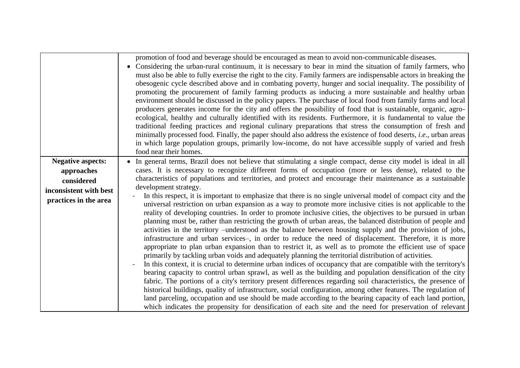|                                                                                                         | promotion of food and beverage should be encouraged as mean to avoid non-communicable diseases.<br>Considering the urban-rural continuum, it is necessary to bear in mind the situation of family farmers, who<br>$\bullet$<br>must also be able to fully exercise the right to the city. Family farmers are indispensable actors in breaking the<br>obesogenic cycle described above and in combating poverty, hunger and social inequality. The possibility of<br>promoting the procurement of family farming products as inducing a more sustainable and healthy urban<br>environment should be discussed in the policy papers. The purchase of local food from family farms and local<br>producers generates income for the city and offers the possibility of food that is sustainable, organic, agro-<br>ecological, healthy and culturally identified with its residents. Furthermore, it is fundamental to value the<br>traditional feeding practices and regional culinary preparations that stress the consumption of fresh and<br>minimally processed food. Finally, the paper should also address the existence of food deserts, <i>i.e.</i> , urban areas<br>in which large population groups, primarily low-income, do not have accessible supply of varied and fresh<br>food near their homes.                                                                                                                                                                                                                                                                                                                                                                                                                                                                                                                                                                                                                                                               |
|---------------------------------------------------------------------------------------------------------|-----------------------------------------------------------------------------------------------------------------------------------------------------------------------------------------------------------------------------------------------------------------------------------------------------------------------------------------------------------------------------------------------------------------------------------------------------------------------------------------------------------------------------------------------------------------------------------------------------------------------------------------------------------------------------------------------------------------------------------------------------------------------------------------------------------------------------------------------------------------------------------------------------------------------------------------------------------------------------------------------------------------------------------------------------------------------------------------------------------------------------------------------------------------------------------------------------------------------------------------------------------------------------------------------------------------------------------------------------------------------------------------------------------------------------------------------------------------------------------------------------------------------------------------------------------------------------------------------------------------------------------------------------------------------------------------------------------------------------------------------------------------------------------------------------------------------------------------------------------------------------------------------------------------------------------------------------------------------------|
| <b>Negative aspects:</b><br>approaches<br>considered<br>inconsistent with best<br>practices in the area | • In general terms, Brazil does not believe that stimulating a single compact, dense city model is ideal in all<br>cases. It is necessary to recognize different forms of occupation (more or less dense), related to the<br>characteristics of populations and territories, and protect and encourage their maintenance as a sustainable<br>development strategy.<br>In this respect, it is important to emphasize that there is no single universal model of compact city and the<br>universal restriction on urban expansion as a way to promote more inclusive cities is not applicable to the<br>reality of developing countries. In order to promote inclusive cities, the objectives to be pursued in urban<br>planning must be, rather than restricting the growth of urban areas, the balanced distribution of people and<br>activities in the territory -understood as the balance between housing supply and the provision of jobs,<br>infrastructure and urban services-, in order to reduce the need of displacement. Therefore, it is more<br>appropriate to plan urban expansion than to restrict it, as well as to promote the efficient use of space<br>primarily by tackling urban voids and adequately planning the territorial distribution of activities.<br>In this context, it is crucial to determine urban indices of occupancy that are compatible with the territory's<br>bearing capacity to control urban sprawl, as well as the building and population densification of the city<br>fabric. The portions of a city's territory present differences regarding soil characteristics, the presence of<br>historical buildings, quality of infrastructure, social configuration, among other features. The regulation of<br>land parceling, occupation and use should be made according to the bearing capacity of each land portion,<br>which indicates the propensity for densification of each site and the need for preservation of relevant |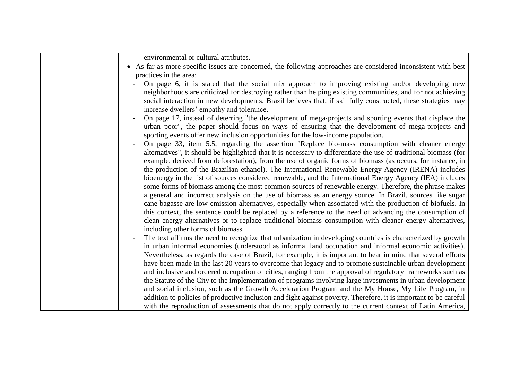| environmental or cultural attributes.                                                                                                                                                                                                                                                                                                                                         |
|-------------------------------------------------------------------------------------------------------------------------------------------------------------------------------------------------------------------------------------------------------------------------------------------------------------------------------------------------------------------------------|
| • As far as more specific issues are concerned, the following approaches are considered inconsistent with best                                                                                                                                                                                                                                                                |
| practices in the area:                                                                                                                                                                                                                                                                                                                                                        |
| On page 6, it is stated that the social mix approach to improving existing and/or developing new<br>neighborhoods are criticized for destroying rather than helping existing communities, and for not achieving<br>social interaction in new developments. Brazil believes that, if skillfully constructed, these strategies may<br>increase dwellers' empathy and tolerance. |
| On page 17, instead of deterring "the development of mega-projects and sporting events that displace the                                                                                                                                                                                                                                                                      |
| urban poor", the paper should focus on ways of ensuring that the development of mega-projects and<br>sporting events offer new inclusion opportunities for the low-income population.                                                                                                                                                                                         |
| On page 33, item 5.5, regarding the assertion "Replace bio-mass consumption with cleaner energy<br>alternatives", it should be highlighted that it is necessary to differentiate the use of traditional biomass (for                                                                                                                                                          |
| example, derived from deforestation), from the use of organic forms of biomass (as occurs, for instance, in                                                                                                                                                                                                                                                                   |
| the production of the Brazilian ethanol). The International Renewable Energy Agency (IRENA) includes                                                                                                                                                                                                                                                                          |
| bioenergy in the list of sources considered renewable, and the International Energy Agency (IEA) includes                                                                                                                                                                                                                                                                     |
| some forms of biomass among the most common sources of renewable energy. Therefore, the phrase makes                                                                                                                                                                                                                                                                          |
| a general and incorrect analysis on the use of biomass as an energy source. In Brazil, sources like sugar                                                                                                                                                                                                                                                                     |
| cane bagasse are low-emission alternatives, especially when associated with the production of biofuels. In                                                                                                                                                                                                                                                                    |
| this context, the sentence could be replaced by a reference to the need of advancing the consumption of                                                                                                                                                                                                                                                                       |
| clean energy alternatives or to replace traditional biomass consumption with cleaner energy alternatives,                                                                                                                                                                                                                                                                     |
| including other forms of biomass.                                                                                                                                                                                                                                                                                                                                             |
| The text affirms the need to recognize that urbanization in developing countries is characterized by growth                                                                                                                                                                                                                                                                   |
| in urban informal economies (understood as informal land occupation and informal economic activities).                                                                                                                                                                                                                                                                        |
| Nevertheless, as regards the case of Brazil, for example, it is important to bear in mind that several efforts                                                                                                                                                                                                                                                                |
| have been made in the last 20 years to overcome that legacy and to promote sustainable urban development                                                                                                                                                                                                                                                                      |
| and inclusive and ordered occupation of cities, ranging from the approval of regulatory frameworks such as                                                                                                                                                                                                                                                                    |
| the Statute of the City to the implementation of programs involving large investments in urban development                                                                                                                                                                                                                                                                    |
| and social inclusion, such as the Growth Acceleration Program and the My House, My Life Program, in                                                                                                                                                                                                                                                                           |
| addition to policies of productive inclusion and fight against poverty. Therefore, it is important to be careful                                                                                                                                                                                                                                                              |
| with the reproduction of assessments that do not apply correctly to the current context of Latin America,                                                                                                                                                                                                                                                                     |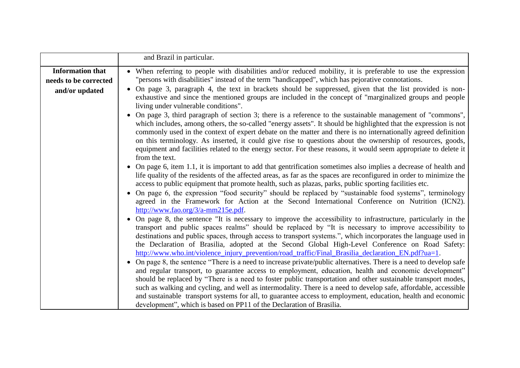|                                                  | and Brazil in particular.                                                                                                                                                                                                                                                                                                                                                                                                                                                                                                                                                                                                                                           |
|--------------------------------------------------|---------------------------------------------------------------------------------------------------------------------------------------------------------------------------------------------------------------------------------------------------------------------------------------------------------------------------------------------------------------------------------------------------------------------------------------------------------------------------------------------------------------------------------------------------------------------------------------------------------------------------------------------------------------------|
| <b>Information that</b><br>needs to be corrected | When referring to people with disabilities and/or reduced mobility, it is preferable to use the expression<br>"persons with disabilities" instead of the term "handicapped", which has pejorative connotations.                                                                                                                                                                                                                                                                                                                                                                                                                                                     |
| and/or updated                                   | On page 3, paragraph 4, the text in brackets should be suppressed, given that the list provided is non-<br>$\bullet$<br>exhaustive and since the mentioned groups are included in the concept of "marginalized groups and people<br>living under vulnerable conditions".                                                                                                                                                                                                                                                                                                                                                                                            |
|                                                  | On page 3, third paragraph of section 3; there is a reference to the sustainable management of "commons",<br>which includes, among others, the so-called "energy assets". It should be highlighted that the expression is not<br>commonly used in the context of expert debate on the matter and there is no internationally agreed definition<br>on this terminology. As inserted, it could give rise to questions about the ownership of resources, goods,<br>equipment and facilities related to the energy sector. For these reasons, it would seem appropriate to delete it<br>from the text.                                                                  |
|                                                  | On page 6, item 1.1, it is important to add that gentrification sometimes also implies a decrease of health and<br>life quality of the residents of the affected areas, as far as the spaces are reconfigured in order to minimize the<br>access to public equipment that promote health, such as plazas, parks, public sporting facilities etc.                                                                                                                                                                                                                                                                                                                    |
|                                                  | On page 6, the expression "food security" should be replaced by "sustainable food systems", terminology<br>agreed in the Framework for Action at the Second International Conference on Nutrition (ICN2).<br>http://www.fao.org/3/a-mm215e.pdf.                                                                                                                                                                                                                                                                                                                                                                                                                     |
|                                                  | On page 8, the sentence "It is necessary to improve the accessibility to infrastructure, particularly in the<br>transport and public spaces realms" should be replaced by "It is necessary to improve accessibility to<br>destinations and public spaces, through access to transport systems.", which incorporates the language used in<br>the Declaration of Brasilia, adopted at the Second Global High-Level Conference on Road Safety:<br>http://www.who.int/violence_injury_prevention/road_traffic/Final_Brasilia_declaration_EN.pdf?ua=1.                                                                                                                   |
|                                                  | On page 8, the sentence "There is a need to increase private/public alternatives. There is a need to develop safe<br>$\bullet$<br>and regular transport, to guarantee access to employment, education, health and economic development"<br>should be replaced by "There is a need to foster public transportation and other sustainable transport modes,<br>such as walking and cycling, and well as intermodality. There is a need to develop safe, affordable, accessible<br>and sustainable transport systems for all, to guarantee access to employment, education, health and economic<br>development", which is based on PP11 of the Declaration of Brasilia. |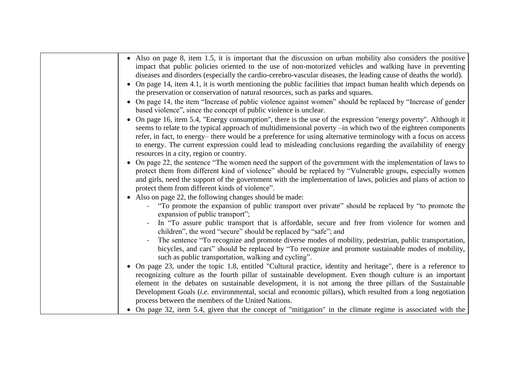| • Also on page 8, item 1.5, it is important that the discussion on urban mobility also considers the positive<br>impact that public policies oriented to the use of non-motorized vehicles and walking have in preventing<br>diseases and disorders (especially the cardio-cerebro-vascular diseases, the leading cause of deaths the world).                                                                                                                                                             |
|-----------------------------------------------------------------------------------------------------------------------------------------------------------------------------------------------------------------------------------------------------------------------------------------------------------------------------------------------------------------------------------------------------------------------------------------------------------------------------------------------------------|
| • On page 14, item 4.1, it is worth mentioning the public facilities that impact human health which depends on<br>the preservation or conservation of natural resources, such as parks and squares.                                                                                                                                                                                                                                                                                                       |
| • On page 14, the item "Increase of public violence against women" should be replaced by "Increase of gender<br>based violence", since the concept of public violence is unclear.                                                                                                                                                                                                                                                                                                                         |
| On page 16, item 5.4, "Energy consumption", there is the use of the expression "energy poverty". Although it<br>seems to relate to the typical approach of multidimensional poverty -in which two of the eighteen components<br>refer, in fact, to energy- there would be a preference for using alternative terminology with a focus on access<br>to energy. The current expression could lead to misleading conclusions regarding the availability of energy<br>resources in a city, region or country. |
| • On page 22, the sentence "The women need the support of the government with the implementation of laws to<br>protect them from different kind of violence" should be replaced by "Vulnerable groups, especially women<br>and girls, need the support of the government with the implementation of laws, policies and plans of action to<br>protect them from different kinds of violence".                                                                                                              |
| • Also on page 22, the following changes should be made:                                                                                                                                                                                                                                                                                                                                                                                                                                                  |
| "To promote the expansion of public transport over private" should be replaced by "to promote the<br>expansion of public transport";                                                                                                                                                                                                                                                                                                                                                                      |
| In "To assure public transport that is affordable, secure and free from violence for women and<br>children", the word "secure" should be replaced by "safe"; and                                                                                                                                                                                                                                                                                                                                          |
| The sentence "To recognize and promote diverse modes of mobility, pedestrian, public transportation,<br>bicycles, and cars" should be replaced by "To recognize and promote sustainable modes of mobility,<br>such as public transportation, walking and cycling".                                                                                                                                                                                                                                        |
| • On page 23, under the topic 1.8, entitled "Cultural practice, identity and heritage", there is a reference to<br>recognizing culture as the fourth pillar of sustainable development. Even though culture is an important<br>element in the debates on sustainable development, it is not among the three pillars of the Sustainable<br>Development Goals (i.e. environmental, social and economic pillars), which resulted from a long negotiation                                                     |
| process between the members of the United Nations.                                                                                                                                                                                                                                                                                                                                                                                                                                                        |
| • On page 32, item 5.4, given that the concept of "mitigation" in the climate regime is associated with the                                                                                                                                                                                                                                                                                                                                                                                               |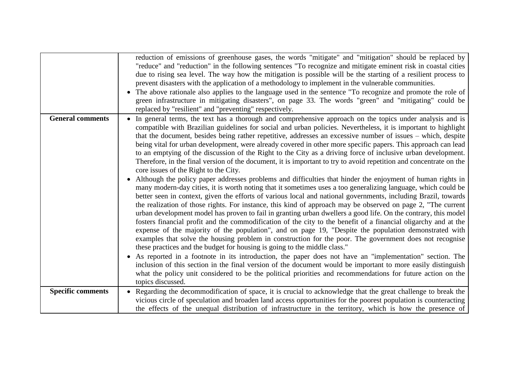|                          | reduction of emissions of greenhouse gases, the words "mitigate" and "mitigation" should be replaced by<br>"reduce" and "reduction" in the following sentences "To recognize and mitigate eminent risk in coastal cities<br>due to rising sea level. The way how the mitigation is possible will be the starting of a resilient process to<br>prevent disasters with the application of a methodology to implement in the vulnerable communities.<br>The above rationale also applies to the language used in the sentence "To recognize and promote the role of<br>green infrastructure in mitigating disasters", on page 33. The words "green" and "mitigating" could be<br>replaced by "resilient" and "preventing" respectively.                                                                                                                                                                                                                                                                                                                                                                                                                                                                                                                                                                                                                                                                                                                                                                                                                                                                                                                                                                                                                                                                                                                                                                                                                                                                                                                                                                             |
|--------------------------|------------------------------------------------------------------------------------------------------------------------------------------------------------------------------------------------------------------------------------------------------------------------------------------------------------------------------------------------------------------------------------------------------------------------------------------------------------------------------------------------------------------------------------------------------------------------------------------------------------------------------------------------------------------------------------------------------------------------------------------------------------------------------------------------------------------------------------------------------------------------------------------------------------------------------------------------------------------------------------------------------------------------------------------------------------------------------------------------------------------------------------------------------------------------------------------------------------------------------------------------------------------------------------------------------------------------------------------------------------------------------------------------------------------------------------------------------------------------------------------------------------------------------------------------------------------------------------------------------------------------------------------------------------------------------------------------------------------------------------------------------------------------------------------------------------------------------------------------------------------------------------------------------------------------------------------------------------------------------------------------------------------------------------------------------------------------------------------------------------------|
| <b>General comments</b>  | In general terms, the text has a thorough and comprehensive approach on the topics under analysis and is<br>compatible with Brazilian guidelines for social and urban policies. Nevertheless, it is important to highlight<br>that the document, besides being rather repetitive, addresses an excessive number of issues – which, despite<br>being vital for urban development, were already covered in other more specific papers. This approach can lead<br>to an emptying of the discussion of the Right to the City as a driving force of inclusive urban development.<br>Therefore, in the final version of the document, it is important to try to avoid repetition and concentrate on the<br>core issues of the Right to the City.<br>Although the policy paper addresses problems and difficulties that hinder the enjoyment of human rights in<br>many modern-day cities, it is worth noting that it sometimes uses a too generalizing language, which could be<br>better seen in context, given the efforts of various local and national governments, including Brazil, towards<br>the realization of those rights. For instance, this kind of approach may be observed on page 2, "The current<br>urban development model has proven to fail in granting urban dwellers a good life. On the contrary, this model<br>fosters financial profit and the commodification of the city to the benefit of a financial oligarchy and at the<br>expense of the majority of the population", and on page 19, "Despite the population demonstrated with<br>examples that solve the housing problem in construction for the poor. The government does not recognise<br>these practices and the budget for housing is going to the middle class."<br>As reported in a footnote in its introduction, the paper does not have an "implementation" section. The<br>inclusion of this section in the final version of the document would be important to more easily distinguish<br>what the policy unit considered to be the political priorities and recommendations for future action on the<br>topics discussed. |
| <b>Specific comments</b> | Regarding the decommodification of space, it is crucial to acknowledge that the great challenge to break the<br>$\bullet$<br>vicious circle of speculation and broaden land access opportunities for the poorest population is counteracting<br>the effects of the unequal distribution of infrastructure in the territory, which is how the presence of                                                                                                                                                                                                                                                                                                                                                                                                                                                                                                                                                                                                                                                                                                                                                                                                                                                                                                                                                                                                                                                                                                                                                                                                                                                                                                                                                                                                                                                                                                                                                                                                                                                                                                                                                         |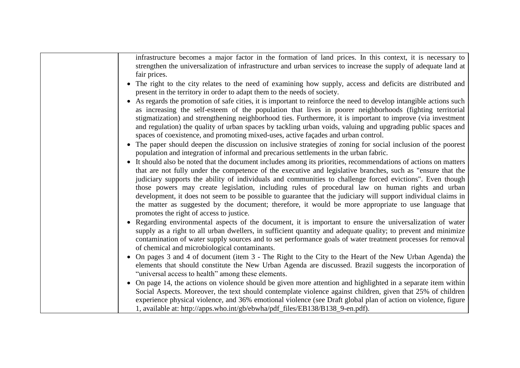| infrastructure becomes a major factor in the formation of land prices. In this context, it is necessary to<br>strengthen the universalization of infrastructure and urban services to increase the supply of adequate land at<br>fair prices.                                                                                                                                                          |
|--------------------------------------------------------------------------------------------------------------------------------------------------------------------------------------------------------------------------------------------------------------------------------------------------------------------------------------------------------------------------------------------------------|
| The right to the city relates to the need of examining how supply, access and deficits are distributed and<br>present in the territory in order to adapt them to the needs of society.                                                                                                                                                                                                                 |
| As regards the promotion of safe cities, it is important to reinforce the need to develop intangible actions such<br>$\bullet$<br>as increasing the self-esteem of the population that lives in poorer neighborhoods (fighting territorial                                                                                                                                                             |
| stigmatization) and strengthening neighborhood ties. Furthermore, it is important to improve (via investment<br>and regulation) the quality of urban spaces by tackling urban voids, valuing and upgrading public spaces and<br>spaces of coexistence, and promoting mixed-uses, active façades and urban control.                                                                                     |
| The paper should deepen the discussion on inclusive strategies of zoning for social inclusion of the poorest<br>$\bullet$<br>population and integration of informal and precarious settlements in the urban fabric.                                                                                                                                                                                    |
| It should also be noted that the document includes among its priorities, recommendations of actions on matters<br>$\bullet$<br>that are not fully under the competence of the executive and legislative branches, such as "ensure that the                                                                                                                                                             |
| judiciary supports the ability of individuals and communities to challenge forced evictions". Even though<br>those powers may create legislation, including rules of procedural law on human rights and urban<br>development, it does not seem to be possible to guarantee that the judiciary will support individual claims in                                                                        |
| the matter as suggested by the document; therefore, it would be more appropriate to use language that<br>promotes the right of access to justice.                                                                                                                                                                                                                                                      |
| Regarding environmental aspects of the document, it is important to ensure the universalization of water<br>$\bullet$<br>supply as a right to all urban dwellers, in sufficient quantity and adequate quality; to prevent and minimize<br>contamination of water supply sources and to set performance goals of water treatment processes for removal<br>of chemical and microbiological contaminants. |
| On pages 3 and 4 of document (item 3 - The Right to the City to the Heart of the New Urban Agenda) the<br>$\bullet$<br>elements that should constitute the New Urban Agenda are discussed. Brazil suggests the incorporation of<br>"universal access to health" among these elements.                                                                                                                  |
| On page 14, the actions on violence should be given more attention and highlighted in a separate item within<br>$\bullet$<br>Social Aspects. Moreover, the text should contemplate violence against children, given that 25% of children<br>experience physical violence, and 36% emotional violence (see Draft global plan of action on violence, figure                                              |
| 1, available at: http://apps.who.int/gb/ebwha/pdf_files/EB138/B138_9-en.pdf).                                                                                                                                                                                                                                                                                                                          |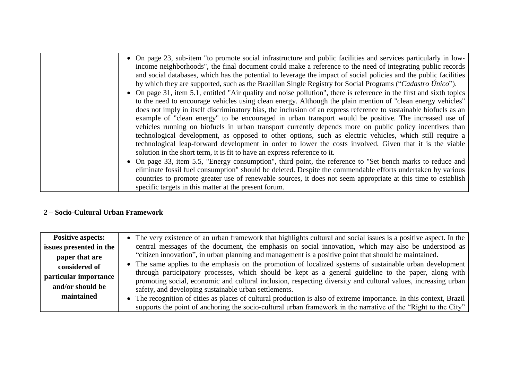| • On page 23, sub-item "to promote social infrastructure and public facilities and services particularly in low-<br>income neighborhoods", the final document could make a reference to the need of integrating public records<br>and social databases, which has the potential to leverage the impact of social policies and the public facilities<br>by which they are supported, such as the Brazilian Single Registry for Social Programs ("Cadastro Único").<br>• On page 31, item 5.1, entitled "Air quality and noise pollution", there is reference in the first and sixth topics<br>to the need to encourage vehicles using clean energy. Although the plain mention of "clean energy vehicles" |
|----------------------------------------------------------------------------------------------------------------------------------------------------------------------------------------------------------------------------------------------------------------------------------------------------------------------------------------------------------------------------------------------------------------------------------------------------------------------------------------------------------------------------------------------------------------------------------------------------------------------------------------------------------------------------------------------------------|
| does not imply in itself discriminatory bias, the inclusion of an express reference to sustainable biofuels as an<br>example of "clean energy" to be encouraged in urban transport would be positive. The increased use of<br>vehicles running on biofuels in urban transport currently depends more on public policy incentives than<br>technological development, as opposed to other options, such as electric vehicles, which still require a<br>technological leap-forward development in order to lower the costs involved. Given that it is the viable<br>solution in the short term, it is fit to have an express reference to it.                                                               |
| • On page 33, item 5.5, "Energy consumption", third point, the reference to "Set bench marks to reduce and<br>eliminate fossil fuel consumption" should be deleted. Despite the commendable efforts undertaken by various<br>countries to promote greater use of renewable sources, it does not seem appropriate at this time to establish<br>specific targets in this matter at the present forum.                                                                                                                                                                                                                                                                                                      |

#### **2 – Socio-Cultural Urban Framework**

| <b>Positive aspects:</b> | • The very existence of an urban framework that highlights cultural and social issues is a positive aspect. In the                                                                                                     |
|--------------------------|------------------------------------------------------------------------------------------------------------------------------------------------------------------------------------------------------------------------|
| issues presented in the  | central messages of the document, the emphasis on social innovation, which may also be understood as                                                                                                                   |
| paper that are           | "citizen innovation", in urban planning and management is a positive point that should be maintained.                                                                                                                  |
| considered of            | • The same applies to the emphasis on the promotion of localized systems of sustainable urban development                                                                                                              |
| particular importance    | through participatory processes, which should be kept as a general guideline to the paper, along with<br>promoting social, economic and cultural inclusion, respecting diversity and cultural values, increasing urban |
| and/or should be         | safety, and developing sustainable urban settlements.                                                                                                                                                                  |
| maintained               | • The recognition of cities as places of cultural production is also of extreme importance. In this context, Brazil                                                                                                    |
|                          | supports the point of anchoring the socio-cultural urban framework in the narrative of the "Right to the City"                                                                                                         |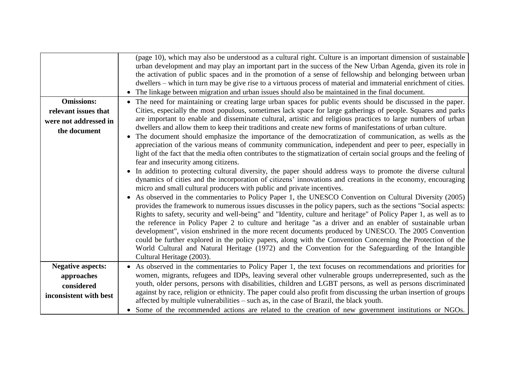|                          | (page 10), which may also be understood as a cultural right. Culture is an important dimension of sustainable<br>urban development and may play an important part in the success of the New Urban Agenda, given its role in<br>the activation of public spaces and in the promotion of a sense of fellowship and belonging between urban<br>dwellers – which in turn may be give rise to a virtuous process of material and immaterial enrichment of cities.<br>The linkage between migration and urban issues should also be maintained in the final document.                                                                                                                                                                                                                                                                                                                                                                                                                                                                                                                                                                                                                                                                                                                                                                                                                                                                                                                                                                                                                                                                             |
|--------------------------|---------------------------------------------------------------------------------------------------------------------------------------------------------------------------------------------------------------------------------------------------------------------------------------------------------------------------------------------------------------------------------------------------------------------------------------------------------------------------------------------------------------------------------------------------------------------------------------------------------------------------------------------------------------------------------------------------------------------------------------------------------------------------------------------------------------------------------------------------------------------------------------------------------------------------------------------------------------------------------------------------------------------------------------------------------------------------------------------------------------------------------------------------------------------------------------------------------------------------------------------------------------------------------------------------------------------------------------------------------------------------------------------------------------------------------------------------------------------------------------------------------------------------------------------------------------------------------------------------------------------------------------------|
| <b>Omissions:</b>        | The need for maintaining or creating large urban spaces for public events should be discussed in the paper.                                                                                                                                                                                                                                                                                                                                                                                                                                                                                                                                                                                                                                                                                                                                                                                                                                                                                                                                                                                                                                                                                                                                                                                                                                                                                                                                                                                                                                                                                                                                 |
| relevant issues that     | Cities, especially the most populous, sometimes lack space for large gatherings of people. Squares and parks                                                                                                                                                                                                                                                                                                                                                                                                                                                                                                                                                                                                                                                                                                                                                                                                                                                                                                                                                                                                                                                                                                                                                                                                                                                                                                                                                                                                                                                                                                                                |
| were not addressed in    | are important to enable and disseminate cultural, artistic and religious practices to large numbers of urban                                                                                                                                                                                                                                                                                                                                                                                                                                                                                                                                                                                                                                                                                                                                                                                                                                                                                                                                                                                                                                                                                                                                                                                                                                                                                                                                                                                                                                                                                                                                |
| the document             | dwellers and allow them to keep their traditions and create new forms of manifestations of urban culture.<br>The document should emphasize the importance of the democratization of communication, as wells as the<br>appreciation of the various means of community communication, independent and peer to peer, especially in<br>light of the fact that the media often contributes to the stigmatization of certain social groups and the feeling of<br>fear and insecurity among citizens.<br>• In addition to protecting cultural diversity, the paper should address ways to promote the diverse cultural<br>dynamics of cities and the incorporation of citizens' innovations and creations in the economy, encouraging<br>micro and small cultural producers with public and private incentives.<br>As observed in the commentaries to Policy Paper 1, the UNESCO Convention on Cultural Diversity (2005)<br>$\bullet$<br>provides the framework to numerous issues discusses in the policy papers, such as the sections "Social aspects:<br>Rights to safety, security and well-being" and "Identity, culture and heritage" of Policy Paper 1, as well as to<br>the reference in Policy Paper 2 to culture and heritage "as a driver and an enabler of sustainable urban<br>development", vision enshrined in the more recent documents produced by UNESCO. The 2005 Convention<br>could be further explored in the policy papers, along with the Convention Concerning the Protection of the<br>World Cultural and Natural Heritage (1972) and the Convention for the Safeguarding of the Intangible<br>Cultural Heritage (2003). |
| <b>Negative aspects:</b> | As observed in the commentaries to Policy Paper 1, the text focuses on recommendations and priorities for                                                                                                                                                                                                                                                                                                                                                                                                                                                                                                                                                                                                                                                                                                                                                                                                                                                                                                                                                                                                                                                                                                                                                                                                                                                                                                                                                                                                                                                                                                                                   |
| approaches               | women, migrants, refugees and IDPs, leaving several other vulnerable groups underrepresented, such as the                                                                                                                                                                                                                                                                                                                                                                                                                                                                                                                                                                                                                                                                                                                                                                                                                                                                                                                                                                                                                                                                                                                                                                                                                                                                                                                                                                                                                                                                                                                                   |
| considered               | youth, older persons, persons with disabilities, children and LGBT persons, as well as persons discriminated                                                                                                                                                                                                                                                                                                                                                                                                                                                                                                                                                                                                                                                                                                                                                                                                                                                                                                                                                                                                                                                                                                                                                                                                                                                                                                                                                                                                                                                                                                                                |
| inconsistent with best   | against by race, religion or ethnicity. The paper could also profit from discussing the urban insertion of groups<br>affected by multiple vulnerabilities – such as, in the case of Brazil, the black youth.                                                                                                                                                                                                                                                                                                                                                                                                                                                                                                                                                                                                                                                                                                                                                                                                                                                                                                                                                                                                                                                                                                                                                                                                                                                                                                                                                                                                                                |
|                          | Some of the recommended actions are related to the creation of new government institutions or NGOs.                                                                                                                                                                                                                                                                                                                                                                                                                                                                                                                                                                                                                                                                                                                                                                                                                                                                                                                                                                                                                                                                                                                                                                                                                                                                                                                                                                                                                                                                                                                                         |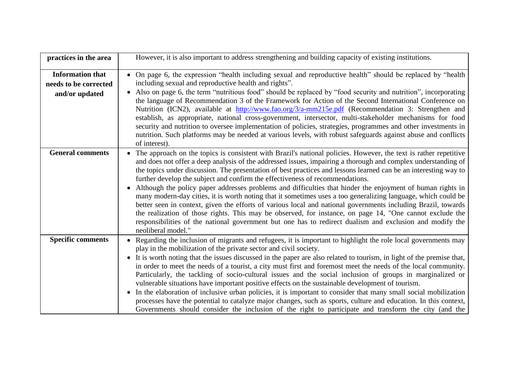| practices in the area                                              | However, it is also important to address strengthening and building capacity of existing institutions.                                                                                                                                                                                                                                                                                                                                                                                                                                                                                                                                                                                                                                                                                                                                                                                                                                                                                                                               |
|--------------------------------------------------------------------|--------------------------------------------------------------------------------------------------------------------------------------------------------------------------------------------------------------------------------------------------------------------------------------------------------------------------------------------------------------------------------------------------------------------------------------------------------------------------------------------------------------------------------------------------------------------------------------------------------------------------------------------------------------------------------------------------------------------------------------------------------------------------------------------------------------------------------------------------------------------------------------------------------------------------------------------------------------------------------------------------------------------------------------|
| <b>Information that</b><br>needs to be corrected<br>and/or updated | On page 6, the expression "health including sexual and reproductive health" should be replaced by "health<br>$\bullet$<br>including sexual and reproductive health and rights".<br>Also on page 6, the term "nutritious food" should be replaced by "food security and nutrition", incorporating<br>$\bullet$<br>the language of Recommendation 3 of the Framework for Action of the Second International Conference on<br>Nutrition (ICN2), available at http://www.fao.org/3/a-mm215e.pdf (Recommendation 3: Strengthen and<br>establish, as appropriate, national cross-government, intersector, multi-stakeholder mechanisms for food<br>security and nutrition to oversee implementation of policies, strategies, programmes and other investments in<br>nutrition. Such platforms may be needed at various levels, with robust safeguards against abuse and conflicts<br>of interest).                                                                                                                                         |
| <b>General comments</b>                                            | The approach on the topics is consistent with Brazil's national policies. However, the text is rather repetitive<br>and does not offer a deep analysis of the addressed issues, impairing a thorough and complex understanding of<br>the topics under discussion. The presentation of best practices and lessons learned can be an interesting way to<br>further develop the subject and confirm the effectiveness of recommendations.<br>Although the policy paper addresses problems and difficulties that hinder the enjoyment of human rights in<br>many modern-day cities, it is worth noting that it sometimes uses a too generalizing language, which could be<br>better seen in context, given the efforts of various local and national governments including Brazil, towards<br>the realization of those rights. This may be observed, for instance, on page 14, "One cannot exclude the<br>responsibilities of the national government but one has to redirect dualism and exclusion and modify the<br>neoliberal model." |
| <b>Specific comments</b>                                           | • Regarding the inclusion of migrants and refugees, it is important to highlight the role local governments may<br>play in the mobilization of the private sector and civil society.<br>It is worth noting that the issues discussed in the paper are also related to tourism, in light of the premise that,<br>$\bullet$<br>in order to meet the needs of a tourist, a city must first and foremost meet the needs of the local community.<br>Particularly, the tackling of socio-cultural issues and the social inclusion of groups in marginalized or<br>vulnerable situations have important positive effects on the sustainable development of tourism.<br>In the elaboration of inclusive urban policies, it is important to consider that many small social mobilization<br>$\bullet$<br>processes have the potential to catalyze major changes, such as sports, culture and education. In this context,<br>Governments should consider the inclusion of the right to participate and transform the city (and the             |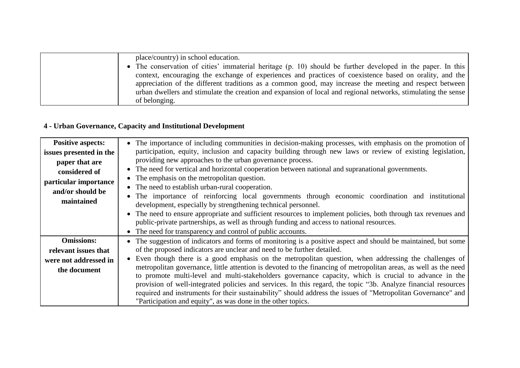| place/country) in school education.                                                                           |
|---------------------------------------------------------------------------------------------------------------|
| • The conservation of cities' immaterial heritage (p. 10) should be further developed in the paper. In this   |
| context, encouraging the exchange of experiences and practices of coexistence based on orality, and the       |
| appreciation of the different traditions as a common good, may increase the meeting and respect between       |
| urban dwellers and stimulate the creation and expansion of local and regional networks, stimulating the sense |
| of belonging.                                                                                                 |

# **4 - Urban Governance, Capacity and Institutional Development**

| <b>Positive aspects:</b> | The importance of including communities in decision-making processes, with emphasis on the promotion of<br>$\bullet$                                                                                        |
|--------------------------|-------------------------------------------------------------------------------------------------------------------------------------------------------------------------------------------------------------|
| issues presented in the  | participation, equity, inclusion and capacity building through new laws or review of existing legislation,                                                                                                  |
| paper that are           | providing new approaches to the urban governance process.                                                                                                                                                   |
| considered of            | • The need for vertical and horizontal cooperation between national and supranational governments.                                                                                                          |
| particular importance    | • The emphasis on the metropolitan question.                                                                                                                                                                |
| and/or should be         | The need to establish urban-rural cooperation.<br>$\bullet$                                                                                                                                                 |
| maintained               | The importance of reinforcing local governments through economic coordination and institutional<br>$\bullet$<br>development, especially by strengthening technical personnel.                               |
|                          |                                                                                                                                                                                                             |
|                          | • The need to ensure appropriate and sufficient resources to implement policies, both through tax revenues and<br>public-private partnerships, as well as through funding and access to national resources. |
|                          | The need for transparency and control of public accounts.<br>$\bullet$                                                                                                                                      |
|                          |                                                                                                                                                                                                             |
| <b>Omissions:</b>        | The suggestion of indicators and forms of monitoring is a positive aspect and should be maintained, but some<br>$\bullet$                                                                                   |
| relevant issues that     | of the proposed indicators are unclear and need to be further detailed.                                                                                                                                     |
| were not addressed in    | Even though there is a good emphasis on the metropolitan question, when addressing the challenges of<br>$\bullet$                                                                                           |
| the document             | metropolitan governance, little attention is devoted to the financing of metropolitan areas, as well as the need                                                                                            |
|                          | to promote multi-level and multi-stakeholders governance capacity, which is crucial to advance in the                                                                                                       |
|                          | provision of well-integrated policies and services. In this regard, the topic "3b. Analyze financial resources                                                                                              |
|                          | required and instruments for their sustainability" should address the issues of "Metropolitan Governance" and                                                                                               |
|                          | "Participation and equity", as was done in the other topics.                                                                                                                                                |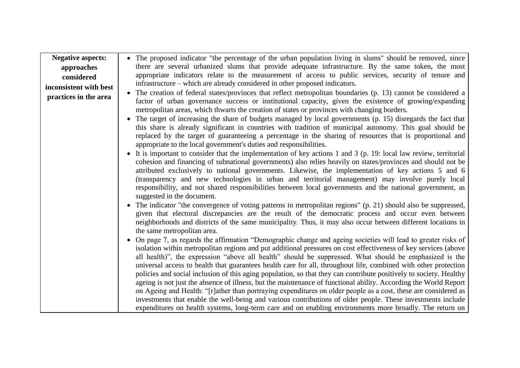| <b>Negative aspects:</b> | • The proposed indicator "the percentage of the urban population living in slums" should be removed, since                                                                                                                                                                                                                                                                                                                                                                                                                                                                                                                                                                                                                                                                                                                                                                                                                                                                                                                                                                                                                                                                                                                                                                                                                                                                                                                    |
|--------------------------|-------------------------------------------------------------------------------------------------------------------------------------------------------------------------------------------------------------------------------------------------------------------------------------------------------------------------------------------------------------------------------------------------------------------------------------------------------------------------------------------------------------------------------------------------------------------------------------------------------------------------------------------------------------------------------------------------------------------------------------------------------------------------------------------------------------------------------------------------------------------------------------------------------------------------------------------------------------------------------------------------------------------------------------------------------------------------------------------------------------------------------------------------------------------------------------------------------------------------------------------------------------------------------------------------------------------------------------------------------------------------------------------------------------------------------|
| approaches               | there are several urbanized slums that provide adequate infrastructure. By the same token, the most                                                                                                                                                                                                                                                                                                                                                                                                                                                                                                                                                                                                                                                                                                                                                                                                                                                                                                                                                                                                                                                                                                                                                                                                                                                                                                                           |
| considered               | appropriate indicators relate to the measurement of access to public services, security of tenure and                                                                                                                                                                                                                                                                                                                                                                                                                                                                                                                                                                                                                                                                                                                                                                                                                                                                                                                                                                                                                                                                                                                                                                                                                                                                                                                         |
| inconsistent with best   | infrastructure – which are already considered in other proposed indicators.                                                                                                                                                                                                                                                                                                                                                                                                                                                                                                                                                                                                                                                                                                                                                                                                                                                                                                                                                                                                                                                                                                                                                                                                                                                                                                                                                   |
| practices in the area    | • The creation of federal states/provinces that reflect metropolitan boundaries (p. 13) cannot be considered a<br>factor of urban governance success or institutional capacity, given the existence of growing/expanding<br>metropolitan areas, which thwarts the creation of states or provinces with changing borders.<br>• The target of increasing the share of budgets managed by local governments (p. 15) disregards the fact that                                                                                                                                                                                                                                                                                                                                                                                                                                                                                                                                                                                                                                                                                                                                                                                                                                                                                                                                                                                     |
|                          | this share is already significant in countries with tradition of municipal autonomy. This goal should be<br>replaced by the target of guaranteeing a percentage in the sharing of resources that is proportional and<br>appropriate to the local government's duties and responsibilities.<br>• It is important to consider that the implementation of key actions 1 and 3 (p. 19: local law review, territorial                                                                                                                                                                                                                                                                                                                                                                                                                                                                                                                                                                                                                                                                                                                                                                                                                                                                                                                                                                                                              |
|                          | cohesion and financing of subnational governments) also relies heavily on states/provinces and should not be<br>attributed exclusively to national governments. Likewise, the implementation of key actions 5 and 6<br>(transparency and new technologies in urban and territorial management) may involve purely local<br>responsibility, and not shared responsibilities between local governments and the national government, as<br>suggested in the document.                                                                                                                                                                                                                                                                                                                                                                                                                                                                                                                                                                                                                                                                                                                                                                                                                                                                                                                                                            |
|                          | • The indicator "the convergence of voting patterns in metropolitan regions" (p. 21) should also be suppressed,<br>given that electoral discrepancies are the result of the democratic process and occur even between<br>neighborhoods and districts of the same municipality. Thus, it may also occur between different locations in<br>the same metropolitan area.<br>• On page 7, as regards the affirmation "Demographic change and ageing societies will lead to greater risks of<br>isolation within metropolitan regions and put additional pressures on cost effectiveness of key services (above<br>all health)", the expression "above all health" should be suppressed. What should be emphasized is the<br>universal access to health that guarantees health care for all, throughout life, combined with other protection<br>policies and social inclusion of this aging population, so that they can contribute positively to society. Healthy<br>ageing is not just the absence of illness, but the maintenance of functional ability. According the World Report<br>on Ageing and Health: "[r]ather than portraying expenditures on older people as a cost, these are considered as<br>investments that enable the well-being and various contributions of older people. These investments include<br>expenditures on health systems, long-term care and on enabling environments more broadly. The return on |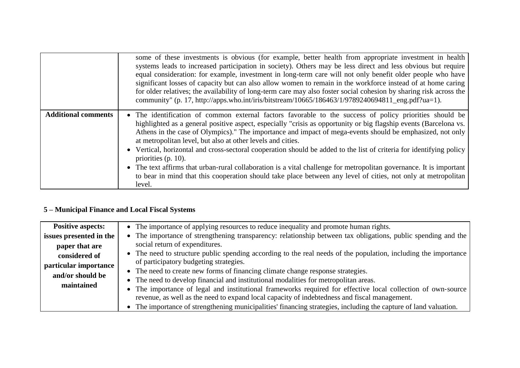|                            | some of these investments is obvious (for example, better health from appropriate investment in health<br>systems leads to increased participation in society). Others may be less direct and less obvious but require<br>equal consideration: for example, investment in long-term care will not only benefit older people who have<br>significant losses of capacity but can also allow women to remain in the workforce instead of at home caring<br>for older relatives; the availability of long-term care may also foster social cohesion by sharing risk across the<br>community" (p. 17, http://apps.who.int/iris/bitstream/10665/186463/1/9789240694811_eng.pdf?ua=1).                                                                                                                              |
|----------------------------|--------------------------------------------------------------------------------------------------------------------------------------------------------------------------------------------------------------------------------------------------------------------------------------------------------------------------------------------------------------------------------------------------------------------------------------------------------------------------------------------------------------------------------------------------------------------------------------------------------------------------------------------------------------------------------------------------------------------------------------------------------------------------------------------------------------|
| <b>Additional comments</b> | • The identification of common external factors favorable to the success of policy priorities should be<br>highlighted as a general positive aspect, especially "crisis as opportunity or big flagship events (Barcelona vs.<br>Athens in the case of Olympics)." The importance and impact of mega-events should be emphasized, not only<br>at metropolitan level, but also at other levels and cities.<br>• Vertical, horizontal and cross-sectoral cooperation should be added to the list of criteria for identifying policy<br>priorities $(p. 10)$ .<br>• The text affirms that urban-rural collaboration is a vital challenge for metropolitan governance. It is important<br>to bear in mind that this cooperation should take place between any level of cities, not only at metropolitan<br>level. |

# **5 – Municipal Finance and Local Fiscal Systems**

| <b>Positive aspects:</b> | • The importance of applying resources to reduce inequality and promote human rights.                          |
|--------------------------|----------------------------------------------------------------------------------------------------------------|
| issues presented in the  | The importance of strengthening transparency: relationship between tax obligations, public spending and the    |
| paper that are           | social return of expenditures.                                                                                 |
| considered of            | The need to structure public spending according to the real needs of the population, including the importance  |
| particular importance    | of participatory budgeting strategies.                                                                         |
| and/or should be         | • The need to create new forms of financing climate change response strategies.                                |
| maintained               | • The need to develop financial and institutional modalities for metropolitan areas.                           |
|                          | The importance of legal and institutional frameworks required for effective local collection of own-source     |
|                          | revenue, as well as the need to expand local capacity of indebtedness and fiscal management.                   |
|                          | The importance of strengthening municipalities' financing strategies, including the capture of land valuation. |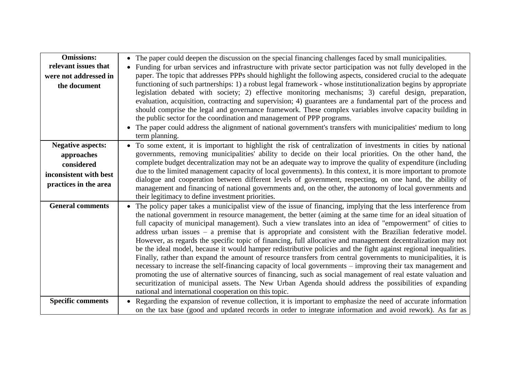| <b>Omissions:</b><br>relevant issues that<br>were not addressed in<br>the document                      | • The paper could deepen the discussion on the special financing challenges faced by small municipalities.<br>Funding for urban services and infrastructure with private sector participation was not fully developed in the<br>$\bullet$<br>paper. The topic that addresses PPPs should highlight the following aspects, considered crucial to the adequate<br>functioning of such partnerships: 1) a robust legal framework - whose institutionalization begins by appropriate<br>legislation debated with society; 2) effective monitoring mechanisms; 3) careful design, preparation,<br>evaluation, acquisition, contracting and supervision; 4) guarantees are a fundamental part of the process and<br>should comprise the legal and governance framework. These complex variables involve capacity building in<br>the public sector for the coordination and management of PPP programs.<br>The paper could address the alignment of national government's transfers with municipalities' medium to long<br>term planning.                                                                                                                                                                                  |
|---------------------------------------------------------------------------------------------------------|---------------------------------------------------------------------------------------------------------------------------------------------------------------------------------------------------------------------------------------------------------------------------------------------------------------------------------------------------------------------------------------------------------------------------------------------------------------------------------------------------------------------------------------------------------------------------------------------------------------------------------------------------------------------------------------------------------------------------------------------------------------------------------------------------------------------------------------------------------------------------------------------------------------------------------------------------------------------------------------------------------------------------------------------------------------------------------------------------------------------------------------------------------------------------------------------------------------------|
| <b>Negative aspects:</b><br>approaches<br>considered<br>inconsistent with best<br>practices in the area | • To some extent, it is important to highlight the risk of centralization of investments in cities by national<br>governments, removing municipalities' ability to decide on their local priorities. On the other hand, the<br>complete budget decentralization may not be an adequate way to improve the quality of expenditure (including<br>due to the limited management capacity of local governments). In this context, it is more important to promote<br>dialogue and cooperation between different levels of government, respecting, on one hand, the ability of<br>management and financing of national governments and, on the other, the autonomy of local governments and<br>their legitimacy to define investment priorities.                                                                                                                                                                                                                                                                                                                                                                                                                                                                         |
| <b>General comments</b>                                                                                 | The policy paper takes a municipalist view of the issue of financing, implying that the less interference from<br>the national government in resource management, the better (aiming at the same time for an ideal situation of<br>full capacity of municipal management). Such a view translates into an idea of "empowerment" of cities to<br>address urban issues $-$ a premise that is appropriate and consistent with the Brazilian federative model.<br>However, as regards the specific topic of financing, full allocative and management decentralization may not<br>be the ideal model, because it would hamper redistributive policies and the fight against regional inequalities.<br>Finally, rather than expand the amount of resource transfers from central governments to municipalities, it is<br>necessary to increase the self-financing capacity of local governments - improving their tax management and<br>promoting the use of alternative sources of financing, such as social management of real estate valuation and<br>securitization of municipal assets. The New Urban Agenda should address the possibilities of expanding<br>national and international cooperation on this topic. |
| <b>Specific comments</b>                                                                                | Regarding the expansion of revenue collection, it is important to emphasize the need of accurate information<br>on the tax base (good and updated records in order to integrate information and avoid rework). As far as                                                                                                                                                                                                                                                                                                                                                                                                                                                                                                                                                                                                                                                                                                                                                                                                                                                                                                                                                                                            |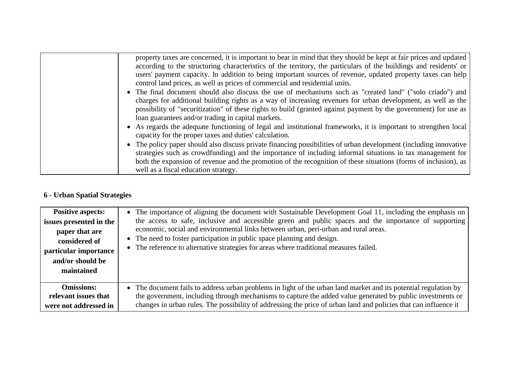| property taxes are concerned, it is important to bear in mind that they should be kept at fair prices and updated |
|-------------------------------------------------------------------------------------------------------------------|
| according to the structuring characteristics of the territory, the particulars of the buildings and residents' or |
| users' payment capacity. In addition to being important sources of revenue, updated property taxes can help       |
| control land prices, as well as prices of commercial and residential units.                                       |
| • The final document should also discuss the use of mechanisms such as "created land" ("solo criado") and         |
| charges for additional building rights as a way of increasing revenues for urban development, as well as the      |
| possibility of "securitization" of these rights to build (granted against payment by the government) for use as   |
| loan guarantees and/or trading in capital markets.                                                                |
| • As regards the adequate functioning of legal and institutional frameworks, it is important to strengthen local  |
| capacity for the proper taxes and duties' calculation.                                                            |
| • The policy paper should also discuss private financing possibilities of urban development (including innovative |
| strategies such as crowdfunding) and the importance of including informal situations in tax management for        |
| both the expansion of revenue and the promotion of the recognition of these situations (forms of inclusion), as   |
| well as a fiscal education strategy.                                                                              |

# **6 - Urban Spatial Strategies**

| <b>Positive aspects:</b><br>issues presented in the<br>paper that are<br>considered of<br>particular importance<br>and/or should be<br>maintained | • The importance of aligning the document with Sustainable Development Goal 11, including the emphasis on<br>the access to safe, inclusive and accessible green and public spaces and the importance of supporting<br>economic, social and environmental links between urban, peri-urban and rural areas.<br>• The need to foster participation in public space planning and design.<br>• The reference to alternative strategies for areas where traditional measures failed. |
|---------------------------------------------------------------------------------------------------------------------------------------------------|--------------------------------------------------------------------------------------------------------------------------------------------------------------------------------------------------------------------------------------------------------------------------------------------------------------------------------------------------------------------------------------------------------------------------------------------------------------------------------|
| <b>Omissions:</b>                                                                                                                                 | • The document fails to address urban problems in light of the urban land market and its potential regulation by                                                                                                                                                                                                                                                                                                                                                               |
| relevant issues that                                                                                                                              | the government, including through mechanisms to capture the added value generated by public investments or                                                                                                                                                                                                                                                                                                                                                                     |
| were not addressed in                                                                                                                             | changes in urban rules. The possibility of addressing the price of urban land and policies that can influence it                                                                                                                                                                                                                                                                                                                                                               |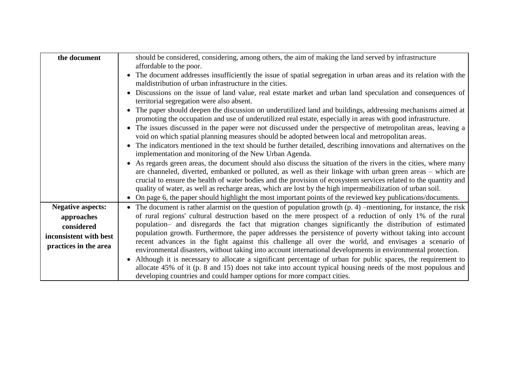| the document             | should be considered, considering, among others, the aim of making the land served by infrastructure                                                                                                                                    |
|--------------------------|-----------------------------------------------------------------------------------------------------------------------------------------------------------------------------------------------------------------------------------------|
|                          | affordable to the poor.                                                                                                                                                                                                                 |
|                          | • The document addresses insufficiently the issue of spatial segregation in urban areas and its relation with the<br>maldistribution of urban infrastructure in the cities.                                                             |
|                          | Discussions on the issue of land value, real estate market and urban land speculation and consequences of<br>$\bullet$<br>territorial segregation were also absent.                                                                     |
|                          | The paper should deepen the discussion on underutilized land and buildings, addressing mechanisms aimed at<br>$\bullet$<br>promoting the occupation and use of underutilized real estate, especially in areas with good infrastructure. |
|                          | • The issues discussed in the paper were not discussed under the perspective of metropolitan areas, leaving a<br>void on which spatial planning measures should be adopted between local and metropolitan areas.                        |
|                          | The indicators mentioned in the text should be further detailed, describing innovations and alternatives on the<br>$\bullet$<br>implementation and monitoring of the New Urban Agenda.                                                  |
|                          | • As regards green areas, the document should also discuss the situation of the rivers in the cities, where many<br>are channeled, diverted, embanked or polluted, as well as their linkage with urban green areas – which are          |
|                          | crucial to ensure the health of water bodies and the provision of ecosystem services related to the quantity and<br>quality of water, as well as recharge areas, which are lost by the high impermeabilization of urban soil.           |
|                          | On page 6, the paper should highlight the most important points of the reviewed key publications/documents.<br>$\bullet$                                                                                                                |
| <b>Negative aspects:</b> | • The document is rather alarmist on the question of population growth $(p. 4)$ –mentioning, for instance, the risk                                                                                                                     |
| approaches               | of rural regions' cultural destruction based on the mere prospect of a reduction of only 1% of the rural                                                                                                                                |
| considered               | population- and disregards the fact that migration changes significantly the distribution of estimated                                                                                                                                  |
| inconsistent with best   | population growth. Furthermore, the paper addresses the persistence of poverty without taking into account                                                                                                                              |
| practices in the area    | recent advances in the fight against this challenge all over the world, and envisages a scenario of<br>environmental disasters, without taking into account international developments in environmental protection.                     |
|                          | Although it is necessary to allocate a significant percentage of urban for public spaces, the requirement to<br>$\bullet$                                                                                                               |
|                          | allocate 45% of it (p. 8 and 15) does not take into account typical housing needs of the most populous and                                                                                                                              |
|                          | developing countries and could hamper options for more compact cities.                                                                                                                                                                  |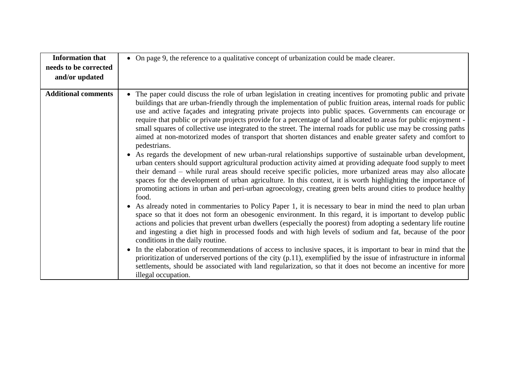| <b>Information that</b>    | • On page 9, the reference to a qualitative concept of urbanization could be made clearer.                                                                                                                                                                                                                                                                                                                                                                                                                                                                                                                                                                                                                                                                                                                                                                                                                                                                                                                                                                                                                                                                                                                                                                                                                                         |
|----------------------------|------------------------------------------------------------------------------------------------------------------------------------------------------------------------------------------------------------------------------------------------------------------------------------------------------------------------------------------------------------------------------------------------------------------------------------------------------------------------------------------------------------------------------------------------------------------------------------------------------------------------------------------------------------------------------------------------------------------------------------------------------------------------------------------------------------------------------------------------------------------------------------------------------------------------------------------------------------------------------------------------------------------------------------------------------------------------------------------------------------------------------------------------------------------------------------------------------------------------------------------------------------------------------------------------------------------------------------|
| needs to be corrected      |                                                                                                                                                                                                                                                                                                                                                                                                                                                                                                                                                                                                                                                                                                                                                                                                                                                                                                                                                                                                                                                                                                                                                                                                                                                                                                                                    |
| and/or updated             |                                                                                                                                                                                                                                                                                                                                                                                                                                                                                                                                                                                                                                                                                                                                                                                                                                                                                                                                                                                                                                                                                                                                                                                                                                                                                                                                    |
| <b>Additional comments</b> | The paper could discuss the role of urban legislation in creating incentives for promoting public and private<br>$\bullet$<br>buildings that are urban-friendly through the implementation of public fruition areas, internal roads for public<br>use and active façades and integrating private projects into public spaces. Governments can encourage or<br>require that public or private projects provide for a percentage of land allocated to areas for public enjoyment -<br>small squares of collective use integrated to the street. The internal roads for public use may be crossing paths<br>aimed at non-motorized modes of transport that shorten distances and enable greater safety and comfort to<br>pedestrians.<br>As regards the development of new urban-rural relationships supportive of sustainable urban development,<br>$\bullet$<br>urban centers should support agricultural production activity aimed at providing adequate food supply to meet<br>their demand – while rural areas should receive specific policies, more urbanized areas may also allocate<br>spaces for the development of urban agriculture. In this context, it is worth highlighting the importance of<br>promoting actions in urban and peri-urban agroecology, creating green belts around cities to produce healthy<br>food. |
|                            | As already noted in commentaries to Policy Paper 1, it is necessary to bear in mind the need to plan urban<br>space so that it does not form an obesogenic environment. In this regard, it is important to develop public<br>actions and policies that prevent urban dwellers (especially the poorest) from adopting a sedentary life routine<br>and ingesting a diet high in processed foods and with high levels of sodium and fat, because of the poor<br>conditions in the daily routine.<br>In the elaboration of recommendations of access to inclusive spaces, it is important to bear in mind that the<br>$\bullet$<br>prioritization of underserved portions of the city $(p.11)$ , exemplified by the issue of infrastructure in informal<br>settlements, should be associated with land regularization, so that it does not become an incentive for more<br>illegal occupation.                                                                                                                                                                                                                                                                                                                                                                                                                                         |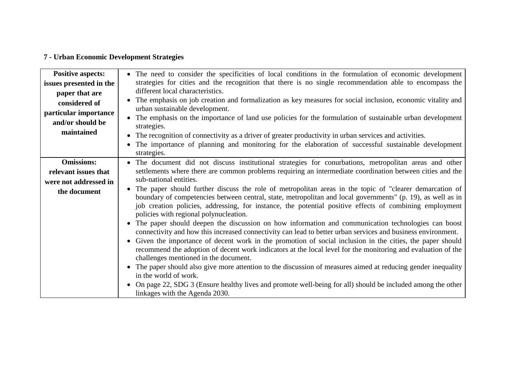# **7 - Urban Economic Development Strategies**

| <b>Positive aspects:</b><br>issues presented in the<br>paper that are<br>considered of<br>particular importance<br>and/or should be<br>maintained | • The need to consider the specificities of local conditions in the formulation of economic development<br>strategies for cities and the recognition that there is no single recommendation able to encompass the<br>different local characteristics.<br>The emphasis on job creation and formalization as key measures for social inclusion, economic vitality and<br>urban sustainable development.<br>The emphasis on the importance of land use policies for the formulation of sustainable urban development<br>strategies.<br>The recognition of connectivity as a driver of greater productivity in urban services and activities.<br>$\bullet$<br>The importance of planning and monitoring for the elaboration of successful sustainable development<br>strategies. |
|---------------------------------------------------------------------------------------------------------------------------------------------------|------------------------------------------------------------------------------------------------------------------------------------------------------------------------------------------------------------------------------------------------------------------------------------------------------------------------------------------------------------------------------------------------------------------------------------------------------------------------------------------------------------------------------------------------------------------------------------------------------------------------------------------------------------------------------------------------------------------------------------------------------------------------------|
| <b>Omissions:</b>                                                                                                                                 | • The document did not discuss institutional strategies for conurbations, metropolitan areas and other                                                                                                                                                                                                                                                                                                                                                                                                                                                                                                                                                                                                                                                                       |
| relevant issues that                                                                                                                              | settlements where there are common problems requiring an intermediate coordination between cities and the<br>sub-national entities.                                                                                                                                                                                                                                                                                                                                                                                                                                                                                                                                                                                                                                          |
| were not addressed in                                                                                                                             | The paper should further discuss the role of metropolitan areas in the topic of "clearer demarcation of                                                                                                                                                                                                                                                                                                                                                                                                                                                                                                                                                                                                                                                                      |
| the document                                                                                                                                      | boundary of competencies between central, state, metropolitan and local governments" (p. 19), as well as in<br>job creation policies, addressing, for instance, the potential positive effects of combining employment<br>policies with regional polynucleation.                                                                                                                                                                                                                                                                                                                                                                                                                                                                                                             |
|                                                                                                                                                   | The paper should deepen the discussion on how information and communication technologies can boost<br>connectivity and how this increased connectivity can lead to better urban services and business environment.                                                                                                                                                                                                                                                                                                                                                                                                                                                                                                                                                           |
|                                                                                                                                                   | Given the importance of decent work in the promotion of social inclusion in the cities, the paper should<br>recommend the adoption of decent work indicators at the local level for the monitoring and evaluation of the<br>challenges mentioned in the document.                                                                                                                                                                                                                                                                                                                                                                                                                                                                                                            |
|                                                                                                                                                   | The paper should also give more attention to the discussion of measures aimed at reducing gender inequality<br>in the world of work.                                                                                                                                                                                                                                                                                                                                                                                                                                                                                                                                                                                                                                         |
|                                                                                                                                                   | On page 22, SDG 3 (Ensure healthy lives and promote well-being for all) should be included among the other<br>linkages with the Agenda 2030.                                                                                                                                                                                                                                                                                                                                                                                                                                                                                                                                                                                                                                 |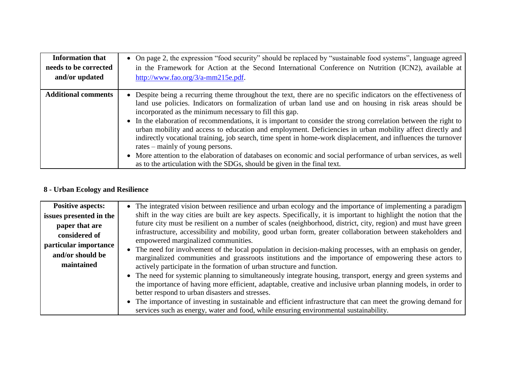| <b>Information that</b>    | • On page 2, the expression "food security" should be replaced by "sustainable food systems", language agreed                                                                                                                                                                                                                                                                                                                                                                                                                                                                                                                                                                                                                                                                                                                                                             |
|----------------------------|---------------------------------------------------------------------------------------------------------------------------------------------------------------------------------------------------------------------------------------------------------------------------------------------------------------------------------------------------------------------------------------------------------------------------------------------------------------------------------------------------------------------------------------------------------------------------------------------------------------------------------------------------------------------------------------------------------------------------------------------------------------------------------------------------------------------------------------------------------------------------|
| needs to be corrected      | in the Framework for Action at the Second International Conference on Nutrition (ICN2), available at                                                                                                                                                                                                                                                                                                                                                                                                                                                                                                                                                                                                                                                                                                                                                                      |
| and/or updated             | http://www.fao.org/ $3/a$ -mm $215e.pdf$ .                                                                                                                                                                                                                                                                                                                                                                                                                                                                                                                                                                                                                                                                                                                                                                                                                                |
| <b>Additional comments</b> | • Despite being a recurring theme throughout the text, there are no specific indicators on the effectiveness of<br>land use policies. Indicators on formalization of urban land use and on housing in risk areas should be<br>incorporated as the minimum necessary to fill this gap.<br>• In the elaboration of recommendations, it is important to consider the strong correlation between the right to<br>urban mobility and access to education and employment. Deficiencies in urban mobility affect directly and<br>indirectly vocational training, job search, time spent in home-work displacement, and influences the turnover<br>rates – mainly of young persons.<br>• More attention to the elaboration of databases on economic and social performance of urban services, as well<br>as to the articulation with the SDGs, should be given in the final text. |

### **8 - Urban Ecology and Resilience**

| <b>Positive aspects:</b> | • The integrated vision between resilience and urban ecology and the importance of implementing a paradigm                                         |
|--------------------------|----------------------------------------------------------------------------------------------------------------------------------------------------|
| issues presented in the  | shift in the way cities are built are key aspects. Specifically, it is important to highlight the notion that the                                  |
| paper that are           | future city must be resilient on a number of scales (neighborhood, district, city, region) and must have green                                     |
| considered of            | infrastructure, accessibility and mobility, good urban form, greater collaboration between stakeholders and<br>empowered marginalized communities. |
| particular importance    | • The need for involvement of the local population in decision-making processes, with an emphasis on gender,                                       |
| and/or should be         | marginalized communities and grassroots institutions and the importance of empowering these actors to                                              |
| maintained               | actively participate in the formation of urban structure and function.                                                                             |
|                          | • The need for systemic planning to simultaneously integrate housing, transport, energy and green systems and                                      |
|                          | the importance of having more efficient, adaptable, creative and inclusive urban planning models, in order to                                      |
|                          | better respond to urban disasters and stresses.                                                                                                    |
|                          | • The importance of investing in sustainable and efficient infrastructure that can meet the growing demand for                                     |
|                          | services such as energy, water and food, while ensuring environmental sustainability.                                                              |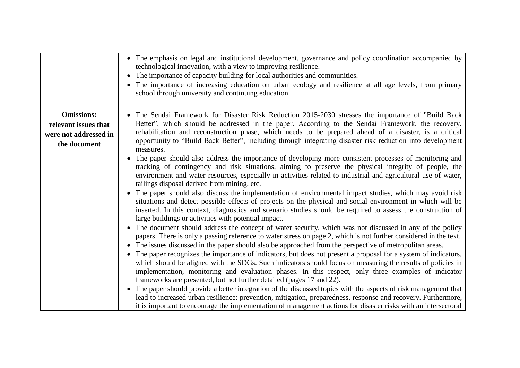|                       | The emphasis on legal and institutional development, governance and policy coordination accompanied by<br>technological innovation, with a view to improving resilience.<br>The importance of capacity building for local authorities and communities.<br>The importance of increasing education on urban ecology and resilience at all age levels, from primary<br>school through university and continuing education.                                                                                                                                                                                                                                                                                                                                               |
|-----------------------|-----------------------------------------------------------------------------------------------------------------------------------------------------------------------------------------------------------------------------------------------------------------------------------------------------------------------------------------------------------------------------------------------------------------------------------------------------------------------------------------------------------------------------------------------------------------------------------------------------------------------------------------------------------------------------------------------------------------------------------------------------------------------|
| <b>Omissions:</b>     | The Sendai Framework for Disaster Risk Reduction 2015-2030 stresses the importance of "Build Back"                                                                                                                                                                                                                                                                                                                                                                                                                                                                                                                                                                                                                                                                    |
| relevant issues that  | Better", which should be addressed in the paper. According to the Sendai Framework, the recovery,                                                                                                                                                                                                                                                                                                                                                                                                                                                                                                                                                                                                                                                                     |
| were not addressed in | rehabilitation and reconstruction phase, which needs to be prepared ahead of a disaster, is a critical                                                                                                                                                                                                                                                                                                                                                                                                                                                                                                                                                                                                                                                                |
| the document          | opportunity to "Build Back Better", including through integrating disaster risk reduction into development<br>measures.                                                                                                                                                                                                                                                                                                                                                                                                                                                                                                                                                                                                                                               |
|                       | The paper should also address the importance of developing more consistent processes of monitoring and<br>tracking of contingency and risk situations, aiming to preserve the physical integrity of people, the<br>environment and water resources, especially in activities related to industrial and agricultural use of water,<br>tailings disposal derived from mining, etc.                                                                                                                                                                                                                                                                                                                                                                                      |
|                       | The paper should also discuss the implementation of environmental impact studies, which may avoid risk<br>situations and detect possible effects of projects on the physical and social environment in which will be<br>inserted. In this context, diagnostics and scenario studies should be required to assess the construction of<br>large buildings or activities with potential impact.                                                                                                                                                                                                                                                                                                                                                                          |
|                       | The document should address the concept of water security, which was not discussed in any of the policy<br>papers. There is only a passing reference to water stress on page 2, which is not further considered in the text.<br>The issues discussed in the paper should also be approached from the perspective of metropolitan areas.<br>$\bullet$<br>The paper recognizes the importance of indicators, but does not present a proposal for a system of indicators,<br>which should be aligned with the SDGs. Such indicators should focus on measuring the results of policies in<br>implementation, monitoring and evaluation phases. In this respect, only three examples of indicator<br>frameworks are presented, but not further detailed (pages 17 and 22). |
|                       | The paper should provide a better integration of the discussed topics with the aspects of risk management that<br>lead to increased urban resilience: prevention, mitigation, preparedness, response and recovery. Furthermore,<br>it is important to encourage the implementation of management actions for disaster risks with an intersectoral                                                                                                                                                                                                                                                                                                                                                                                                                     |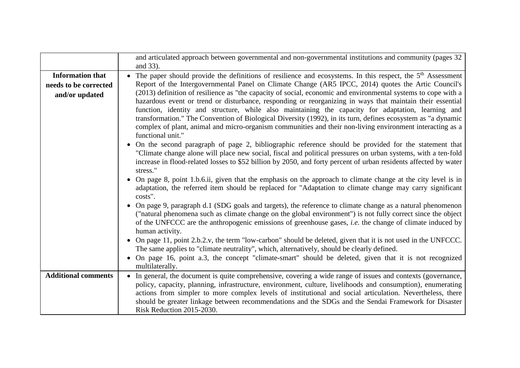|                            | and articulated approach between governmental and non-governmental institutions and community (pages 32                   |
|----------------------------|---------------------------------------------------------------------------------------------------------------------------|
|                            | and 33).                                                                                                                  |
| <b>Information that</b>    | The paper should provide the definitions of resilience and ecosystems. In this respect, the 5 <sup>th</sup> Assessment    |
| needs to be corrected      | Report of the Intergovernmental Panel on Climate Change (AR5 IPCC, 2014) quotes the Artic Council's                       |
| and/or updated             | (2013) definition of resilience as "the capacity of social, economic and environmental systems to cope with a             |
|                            | hazardous event or trend or disturbance, responding or reorganizing in ways that maintain their essential                 |
|                            | function, identity and structure, while also maintaining the capacity for adaptation, learning and                        |
|                            | transformation." The Convention of Biological Diversity (1992), in its turn, defines ecosystem as "a dynamic              |
|                            | complex of plant, animal and micro-organism communities and their non-living environment interacting as a                 |
|                            | functional unit."                                                                                                         |
|                            | On the second paragraph of page 2, bibliographic reference should be provided for the statement that<br>$\bullet$         |
|                            | "Climate change alone will place new social, fiscal and political pressures on urban systems, with a ten-fold             |
|                            | increase in flood-related losses to \$52 billion by 2050, and forty percent of urban residents affected by water          |
|                            | stress."                                                                                                                  |
|                            | On page 8, point 1.b.6.ii, given that the emphasis on the approach to climate change at the city level is in<br>$\bullet$ |
|                            | adaptation, the referred item should be replaced for "Adaptation to climate change may carry significant                  |
|                            | costs".                                                                                                                   |
|                            | On page 9, paragraph d.1 (SDG goals and targets), the reference to climate change as a natural phenomenon                 |
|                            | ("natural phenomena such as climate change on the global environment") is not fully correct since the object              |
|                            | of the UNFCCC are the anthropogenic emissions of greenhouse gases, i.e. the change of climate induced by                  |
|                            | human activity.                                                                                                           |
|                            | On page 11, point 2.b.2.v, the term "low-carbon" should be deleted, given that it is not used in the UNFCCC.              |
|                            | The same applies to "climate neutrality", which, alternatively, should be clearly defined.                                |
|                            | On page 16, point a.3, the concept "climate-smart" should be deleted, given that it is not recognized                     |
|                            | multilaterally.                                                                                                           |
| <b>Additional comments</b> | • In general, the document is quite comprehensive, covering a wide range of issues and contexts (governance,              |
|                            | policy, capacity, planning, infrastructure, environment, culture, livelihoods and consumption), enumerating               |
|                            | actions from simpler to more complex levels of institutional and social articulation. Nevertheless, there                 |
|                            | should be greater linkage between recommendations and the SDGs and the Sendai Framework for Disaster                      |
|                            | Risk Reduction 2015-2030.                                                                                                 |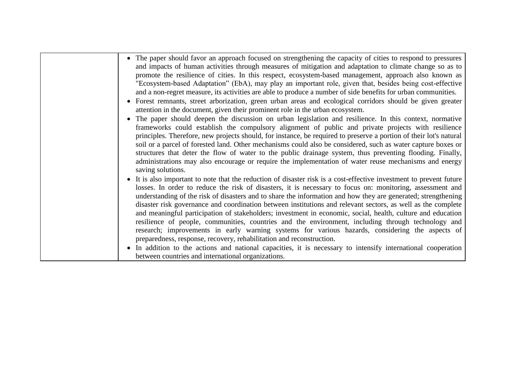| • The paper should favor an approach focused on strengthening the capacity of cities to respond to pressures<br>and impacts of human activities through measures of mitigation and adaptation to climate change so as to<br>promote the resilience of cities. In this respect, ecosystem-based management, approach also known as<br>"Ecosystem-based Adaptation" (EbA), may play an important role, given that, besides being cost-effective<br>and a non-regret measure, its activities are able to produce a number of side benefits for urban communities.<br>• Forest remnants, street arborization, green urban areas and ecological corridors should be given greater<br>attention in the document, given their prominent role in the urban ecosystem.                                                                                                     |
|-------------------------------------------------------------------------------------------------------------------------------------------------------------------------------------------------------------------------------------------------------------------------------------------------------------------------------------------------------------------------------------------------------------------------------------------------------------------------------------------------------------------------------------------------------------------------------------------------------------------------------------------------------------------------------------------------------------------------------------------------------------------------------------------------------------------------------------------------------------------|
| • The paper should deepen the discussion on urban legislation and resilience. In this context, normative<br>frameworks could establish the compulsory alignment of public and private projects with resilience<br>principles. Therefore, new projects should, for instance, be required to preserve a portion of their lot's natural<br>soil or a parcel of forested land. Other mechanisms could also be considered, such as water capture boxes or<br>structures that deter the flow of water to the public drainage system, thus preventing flooding. Finally,<br>administrations may also encourage or require the implementation of water reuse mechanisms and energy<br>saving solutions.                                                                                                                                                                   |
| • It is also important to note that the reduction of disaster risk is a cost-effective investment to prevent future<br>losses. In order to reduce the risk of disasters, it is necessary to focus on: monitoring, assessment and<br>understanding of the risk of disasters and to share the information and how they are generated; strengthening<br>disaster risk governance and coordination between institutions and relevant sectors, as well as the complete<br>and meaningful participation of stakeholders; investment in economic, social, health, culture and education<br>resilience of people, communities, countries and the environment, including through technology and<br>research; improvements in early warning systems for various hazards, considering the aspects of<br>preparedness, response, recovery, rehabilitation and reconstruction. |
| In addition to the actions and national capacities, it is necessary to intensify international cooperation<br>between countries and international organizations.                                                                                                                                                                                                                                                                                                                                                                                                                                                                                                                                                                                                                                                                                                  |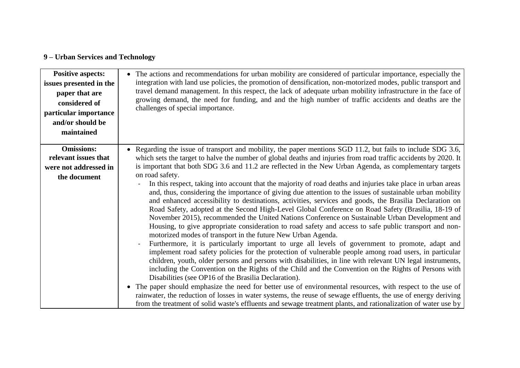# **9 – Urban Services and Technology**

| <b>Positive aspects:</b><br>issues presented in the<br>paper that are<br>considered of<br>particular importance<br>and/or should be<br>maintained | • The actions and recommendations for urban mobility are considered of particular importance, especially the<br>integration with land use policies, the promotion of densification, non-motorized modes, public transport and<br>travel demand management. In this respect, the lack of adequate urban mobility infrastructure in the face of<br>growing demand, the need for funding, and and the high number of traffic accidents and deaths are the<br>challenges of special importance.                                                                                                                                                                                                                                                                                                                                                                                                                                                                                                                                                                                                                                                                                                                                                                                                                                                                                                                                                                                                                                                                                          |
|---------------------------------------------------------------------------------------------------------------------------------------------------|--------------------------------------------------------------------------------------------------------------------------------------------------------------------------------------------------------------------------------------------------------------------------------------------------------------------------------------------------------------------------------------------------------------------------------------------------------------------------------------------------------------------------------------------------------------------------------------------------------------------------------------------------------------------------------------------------------------------------------------------------------------------------------------------------------------------------------------------------------------------------------------------------------------------------------------------------------------------------------------------------------------------------------------------------------------------------------------------------------------------------------------------------------------------------------------------------------------------------------------------------------------------------------------------------------------------------------------------------------------------------------------------------------------------------------------------------------------------------------------------------------------------------------------------------------------------------------------|
| <b>Omissions:</b>                                                                                                                                 | Regarding the issue of transport and mobility, the paper mentions SGD 11.2, but fails to include SDG 3.6,                                                                                                                                                                                                                                                                                                                                                                                                                                                                                                                                                                                                                                                                                                                                                                                                                                                                                                                                                                                                                                                                                                                                                                                                                                                                                                                                                                                                                                                                            |
| relevant issues that<br>were not addressed in                                                                                                     | which sets the target to halve the number of global deaths and injuries from road traffic accidents by 2020. It<br>is important that both SDG 3.6 and 11.2 are reflected in the New Urban Agenda, as complementary targets                                                                                                                                                                                                                                                                                                                                                                                                                                                                                                                                                                                                                                                                                                                                                                                                                                                                                                                                                                                                                                                                                                                                                                                                                                                                                                                                                           |
| the document                                                                                                                                      | on road safety.                                                                                                                                                                                                                                                                                                                                                                                                                                                                                                                                                                                                                                                                                                                                                                                                                                                                                                                                                                                                                                                                                                                                                                                                                                                                                                                                                                                                                                                                                                                                                                      |
|                                                                                                                                                   | In this respect, taking into account that the majority of road deaths and injuries take place in urban areas<br>and, thus, considering the importance of giving due attention to the issues of sustainable urban mobility<br>and enhanced accessibility to destinations, activities, services and goods, the Brasilia Declaration on<br>Road Safety, adopted at the Second High-Level Global Conference on Road Safety (Brasilia, 18-19 of<br>November 2015), recommended the United Nations Conference on Sustainable Urban Development and<br>Housing, to give appropriate consideration to road safety and access to safe public transport and non-<br>motorized modes of transport in the future New Urban Agenda.<br>Furthermore, it is particularly important to urge all levels of government to promote, adapt and<br>$\overline{a}$<br>implement road safety policies for the protection of vulnerable people among road users, in particular<br>children, youth, older persons and persons with disabilities, in line with relevant UN legal instruments,<br>including the Convention on the Rights of the Child and the Convention on the Rights of Persons with<br>Disabilities (see OP16 of the Brasilia Declaration).<br>The paper should emphasize the need for better use of environmental resources, with respect to the use of<br>rainwater, the reduction of losses in water systems, the reuse of sewage effluents, the use of energy deriving<br>from the treatment of solid waste's effluents and sewage treatment plants, and rationalization of water use by |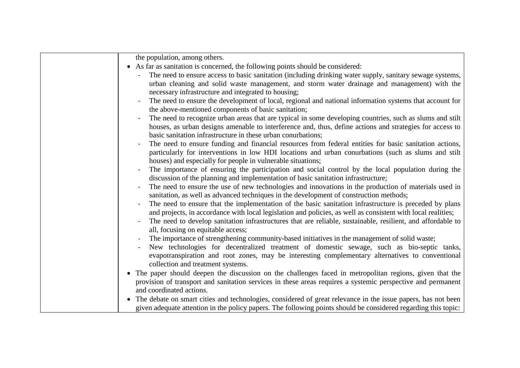| the population, among others.                                                                                  |
|----------------------------------------------------------------------------------------------------------------|
| • As far as sanitation is concerned, the following points should be considered:                                |
| The need to ensure access to basic sanitation (including drinking water supply, sanitary sewage systems,       |
| urban cleaning and solid waste management, and storm water drainage and management) with the                   |
| necessary infrastructure and integrated to housing;                                                            |
| The need to ensure the development of local, regional and national information systems that account for        |
| the above-mentioned components of basic sanitation;                                                            |
| The need to recognize urban areas that are typical in some developing countries, such as slums and stilt       |
| houses, as urban designs amenable to interference and, thus, define actions and strategies for access to       |
| basic sanitation infrastructure in these urban conurbations;                                                   |
| The need to ensure funding and financial resources from federal entities for basic sanitation actions,         |
| particularly for interventions in low HDI locations and urban conurbations (such as slums and stilt            |
| houses) and especially for people in vulnerable situations;                                                    |
| The importance of ensuring the participation and social control by the local population during the             |
| discussion of the planning and implementation of basic sanitation infrastructure;                              |
| The need to ensure the use of new technologies and innovations in the production of materials used in          |
| sanitation, as well as advanced techniques in the development of construction methods;                         |
| The need to ensure that the implementation of the basic sanitation infrastructure is preceded by plans         |
| and projects, in accordance with local legislation and policies, as well as consistent with local realities;   |
| The need to develop sanitation infrastructures that are reliable, sustainable, resilient, and affordable to    |
| all, focusing on equitable access;                                                                             |
| The importance of strengthening community-based initiatives in the management of solid waste;                  |
| New technologies for decentralized treatment of domestic sewage, such as bio-septic tanks,                     |
| evapotranspiration and root zones, may be interesting complementary alternatives to conventional               |
| collection and treatment systems.                                                                              |
| • The paper should deepen the discussion on the challenges faced in metropolitan regions, given that the       |
| provision of transport and sanitation services in these areas requires a systemic perspective and permanent    |
| and coordinated actions.                                                                                       |
| The debate on smart cities and technologies, considered of great relevance in the issue papers, has not been   |
| given adequate attention in the policy papers. The following points should be considered regarding this topic: |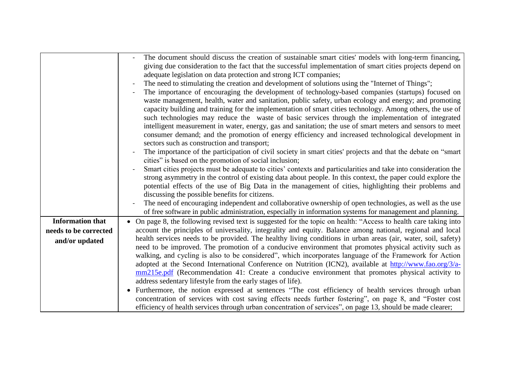|                         | The document should discuss the creation of sustainable smart cities' models with long-term financing,<br>giving due consideration to the fact that the successful implementation of smart cities projects depend on<br>adequate legislation on data protection and strong ICT companies;<br>The need to stimulating the creation and development of solutions using the "Internet of Things";<br>The importance of encouraging the development of technology-based companies (startups) focused on<br>waste management, health, water and sanitation, public safety, urban ecology and energy; and promoting<br>capacity building and training for the implementation of smart cities technology. Among others, the use of<br>such technologies may reduce the waste of basic services through the implementation of integrated<br>intelligent measurement in water, energy, gas and sanitation; the use of smart meters and sensors to meet<br>consumer demand; and the promotion of energy efficiency and increased technological development in<br>sectors such as construction and transport;<br>The importance of the participation of civil society in smart cities' projects and that the debate on "smart"<br>cities" is based on the promotion of social inclusion;<br>Smart cities projects must be adequate to cities' contexts and particularities and take into consideration the<br>strong asymmetry in the control of existing data about people. In this context, the paper could explore the<br>potential effects of the use of Big Data in the management of cities, highlighting their problems and<br>discussing the possible benefits for citizens.<br>The need of encouraging independent and collaborative ownership of open technologies, as well as the use<br>of free software in public administration, especially in information systems for management and planning. |
|-------------------------|----------------------------------------------------------------------------------------------------------------------------------------------------------------------------------------------------------------------------------------------------------------------------------------------------------------------------------------------------------------------------------------------------------------------------------------------------------------------------------------------------------------------------------------------------------------------------------------------------------------------------------------------------------------------------------------------------------------------------------------------------------------------------------------------------------------------------------------------------------------------------------------------------------------------------------------------------------------------------------------------------------------------------------------------------------------------------------------------------------------------------------------------------------------------------------------------------------------------------------------------------------------------------------------------------------------------------------------------------------------------------------------------------------------------------------------------------------------------------------------------------------------------------------------------------------------------------------------------------------------------------------------------------------------------------------------------------------------------------------------------------------------------------------------------------------------------------------------------------------------------------------------------------|
| <b>Information that</b> | On page 8, the following revised text is suggested for the topic on health: "Access to health care taking into                                                                                                                                                                                                                                                                                                                                                                                                                                                                                                                                                                                                                                                                                                                                                                                                                                                                                                                                                                                                                                                                                                                                                                                                                                                                                                                                                                                                                                                                                                                                                                                                                                                                                                                                                                                     |
| needs to be corrected   | account the principles of universality, integrality and equity. Balance among national, regional and local                                                                                                                                                                                                                                                                                                                                                                                                                                                                                                                                                                                                                                                                                                                                                                                                                                                                                                                                                                                                                                                                                                                                                                                                                                                                                                                                                                                                                                                                                                                                                                                                                                                                                                                                                                                         |
| and/or updated          | health services needs to be provided. The healthy living conditions in urban areas (air, water, soil, safety)                                                                                                                                                                                                                                                                                                                                                                                                                                                                                                                                                                                                                                                                                                                                                                                                                                                                                                                                                                                                                                                                                                                                                                                                                                                                                                                                                                                                                                                                                                                                                                                                                                                                                                                                                                                      |
|                         | need to be improved. The promotion of a conducive environment that promotes physical activity such as                                                                                                                                                                                                                                                                                                                                                                                                                                                                                                                                                                                                                                                                                                                                                                                                                                                                                                                                                                                                                                                                                                                                                                                                                                                                                                                                                                                                                                                                                                                                                                                                                                                                                                                                                                                              |
|                         | walking, and cycling is also to be considered", which incorporates language of the Framework for Action<br>adopted at the Second International Conference on Nutrition (ICN2), available at http://www.fao.org/3/a-                                                                                                                                                                                                                                                                                                                                                                                                                                                                                                                                                                                                                                                                                                                                                                                                                                                                                                                                                                                                                                                                                                                                                                                                                                                                                                                                                                                                                                                                                                                                                                                                                                                                                |
|                         | mm215e.pdf (Recommendation 41: Create a conducive environment that promotes physical activity to                                                                                                                                                                                                                                                                                                                                                                                                                                                                                                                                                                                                                                                                                                                                                                                                                                                                                                                                                                                                                                                                                                                                                                                                                                                                                                                                                                                                                                                                                                                                                                                                                                                                                                                                                                                                   |
|                         | address sedentary lifestyle from the early stages of life).                                                                                                                                                                                                                                                                                                                                                                                                                                                                                                                                                                                                                                                                                                                                                                                                                                                                                                                                                                                                                                                                                                                                                                                                                                                                                                                                                                                                                                                                                                                                                                                                                                                                                                                                                                                                                                        |
|                         | Furthermore, the notion expressed at sentences "The cost efficiency of health services through urban<br>concentration of services with cost saving effects needs further fostering", on page 8, and "Foster cost<br>efficiency of health services through urban concentration of services", on page 13, should be made clearer;                                                                                                                                                                                                                                                                                                                                                                                                                                                                                                                                                                                                                                                                                                                                                                                                                                                                                                                                                                                                                                                                                                                                                                                                                                                                                                                                                                                                                                                                                                                                                                    |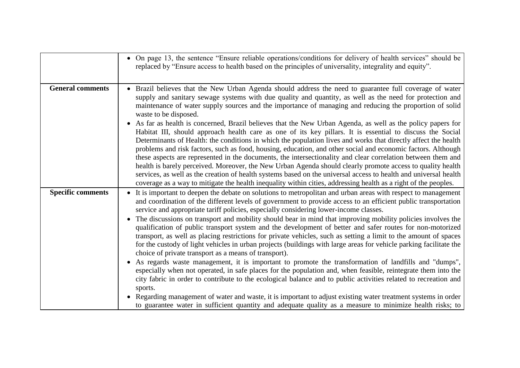|                          | • On page 13, the sentence "Ensure reliable operations/conditions for delivery of health services" should be<br>replaced by "Ensure access to health based on the principles of universality, integrality and equity".                                                                                                                                                                                                                                                                                                                                                                                                                                                                                                                                                                                                                                                                                                                                                                                                                                                                                                                                                                                                                                                                                                                                                                                                                    |
|--------------------------|-------------------------------------------------------------------------------------------------------------------------------------------------------------------------------------------------------------------------------------------------------------------------------------------------------------------------------------------------------------------------------------------------------------------------------------------------------------------------------------------------------------------------------------------------------------------------------------------------------------------------------------------------------------------------------------------------------------------------------------------------------------------------------------------------------------------------------------------------------------------------------------------------------------------------------------------------------------------------------------------------------------------------------------------------------------------------------------------------------------------------------------------------------------------------------------------------------------------------------------------------------------------------------------------------------------------------------------------------------------------------------------------------------------------------------------------|
| <b>General comments</b>  | Brazil believes that the New Urban Agenda should address the need to guarantee full coverage of water<br>supply and sanitary sewage systems with due quality and quantity, as well as the need for protection and<br>maintenance of water supply sources and the importance of managing and reducing the proportion of solid<br>waste to be disposed.<br>As far as health is concerned, Brazil believes that the New Urban Agenda, as well as the policy papers for<br>Habitat III, should approach health care as one of its key pillars. It is essential to discuss the Social<br>Determinants of Health: the conditions in which the population lives and works that directly affect the health<br>problems and risk factors, such as food, housing, education, and other social and economic factors. Although<br>these aspects are represented in the documents, the intersectionality and clear correlation between them and<br>health is barely perceived. Moreover, the New Urban Agenda should clearly promote access to quality health<br>services, as well as the creation of health systems based on the universal access to health and universal health<br>coverage as a way to mitigate the health inequality within cities, addressing health as a right of the peoples.                                                                                                                                                   |
| <b>Specific comments</b> | It is important to deepen the debate on solutions to metropolitan and urban areas with respect to management<br>and coordination of the different levels of government to provide access to an efficient public transportation<br>service and appropriate tariff policies, especially considering lower-income classes.<br>The discussions on transport and mobility should bear in mind that improving mobility policies involves the<br>qualification of public transport system and the development of better and safer routes for non-motorized<br>transport, as well as placing restrictions for private vehicles, such as setting a limit to the amount of spaces<br>for the custody of light vehicles in urban projects (buildings with large areas for vehicle parking facilitate the<br>choice of private transport as a means of transport).<br>As regards waste management, it is important to promote the transformation of landfills and "dumps",<br>especially when not operated, in safe places for the population and, when feasible, reintegrate them into the<br>city fabric in order to contribute to the ecological balance and to public activities related to recreation and<br>sports.<br>Regarding management of water and waste, it is important to adjust existing water treatment systems in order<br>to guarantee water in sufficient quantity and adequate quality as a measure to minimize health risks; to |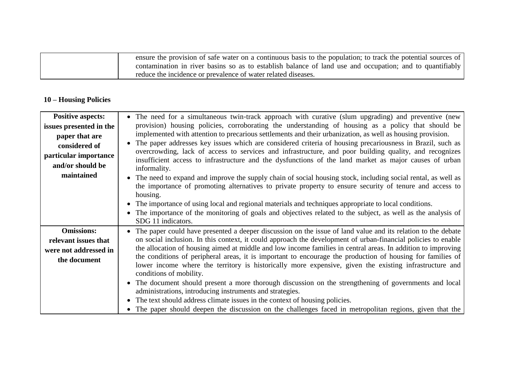| ensure the provision of safe water on a continuous basis to the population; to track the potential sources of |
|---------------------------------------------------------------------------------------------------------------|
| contamination in river basins so as to establish balance of land use and occupation; and to quantifiably      |
| reduce the incidence or prevalence of water related diseases.                                                 |

### **10 – Housing Policies**

| <b>Positive aspects:</b> | • The need for a simultaneous twin-track approach with curative (slum upgrading) and preventive (new                                                                                                                                            |
|--------------------------|-------------------------------------------------------------------------------------------------------------------------------------------------------------------------------------------------------------------------------------------------|
| issues presented in the  | provision) housing policies, corroborating the understanding of housing as a policy that should be                                                                                                                                              |
| paper that are           | implemented with attention to precarious settlements and their urbanization, as well as housing provision.                                                                                                                                      |
| considered of            | The paper addresses key issues which are considered criteria of housing precariousness in Brazil, such as                                                                                                                                       |
| particular importance    | overcrowding, lack of access to services and infrastructure, and poor building quality, and recognizes                                                                                                                                          |
| and/or should be         | insufficient access to infrastructure and the dysfunctions of the land market as major causes of urban<br>informality.                                                                                                                          |
| maintained               | • The need to expand and improve the supply chain of social housing stock, including social rental, as well as<br>the importance of promoting alternatives to private property to ensure security of tenure and access to<br>housing.           |
|                          | The importance of using local and regional materials and techniques appropriate to local conditions.                                                                                                                                            |
|                          | The importance of the monitoring of goals and objectives related to the subject, as well as the analysis of<br>SDG 11 indicators.                                                                                                               |
| <b>Omissions:</b>        | The paper could have presented a deeper discussion on the issue of land value and its relation to the debate                                                                                                                                    |
| relevant issues that     | on social inclusion. In this context, it could approach the development of urban-financial policies to enable                                                                                                                                   |
| were not addressed in    | the allocation of housing aimed at middle and low income families in central areas. In addition to improving                                                                                                                                    |
| the document             | the conditions of peripheral areas, it is important to encourage the production of housing for families of<br>lower income where the territory is historically more expensive, given the existing infrastructure and<br>conditions of mobility. |
|                          | The document should present a more thorough discussion on the strengthening of governments and local                                                                                                                                            |
|                          | administrations, introducing instruments and strategies.                                                                                                                                                                                        |
|                          | The text should address climate issues in the context of housing policies.                                                                                                                                                                      |
|                          | • The paper should deepen the discussion on the challenges faced in metropolitan regions, given that the                                                                                                                                        |